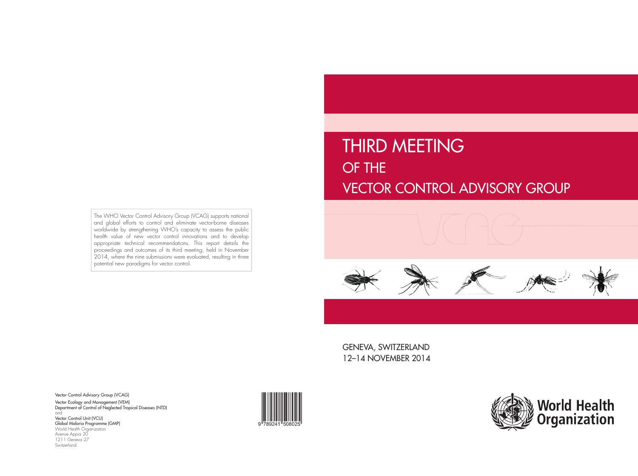# THIRD MEETING OF THE VECTOR CONTROL ADVISORY GROUP



GENEVA, SWITZERLAND 12–14 NOVEMBER 2014

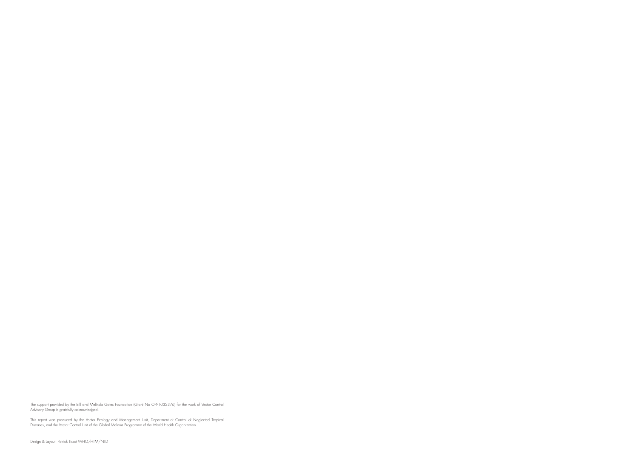The support provided by the Bill and Melinda Gates Foundation (Grant No OPP1032376) for the work of Vector Control Advisory Group is gratefully acknowledged.

This report was produced by the Vector Ecology and Management Unit, Department of Control of Neglected Tropical Diseases, and the Vector Control Unit of the Global Malaria Programme of the World Health Organization.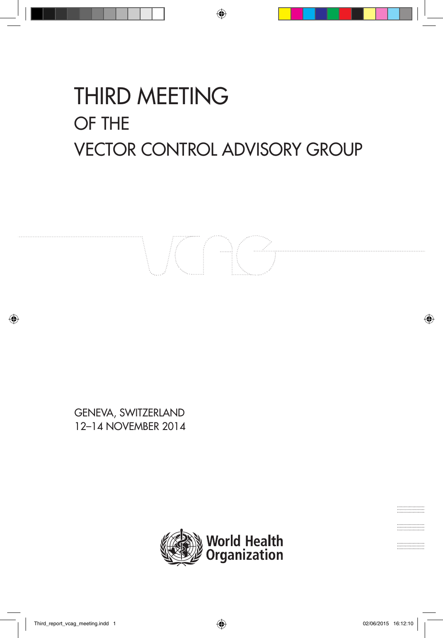# THiRD MEETiNg Of THE VECTOR CONTROl aDViSORy gROup





 $\frac{1}{2}$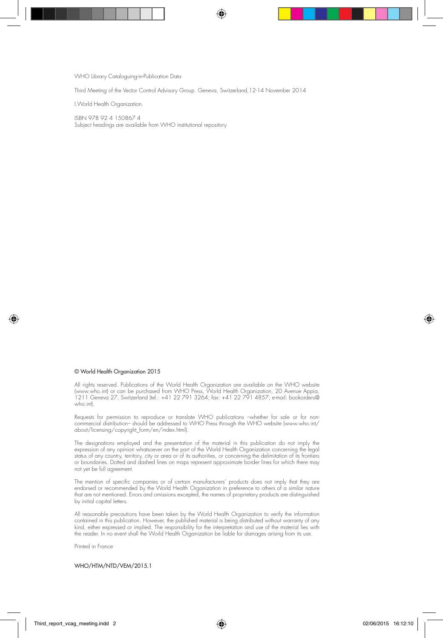WHO Library Cataloguing-in-Publication Data

Third Meeting of the Vector Control Advisory Group. Geneva, Switzerland,12-14 November 2014

I.World Health Organization.

ISBN 978 92 4 150867 4 Subject headings are available from WHO institutional repository

#### © World Health Organization 2015

All rights reserved. Publications of the World Health Organization are available on the WHO website (www.who.int) or can be purchased from WHO Press, World Health Organization, 20 Avenue Appia, 1211 Geneva 27, Switzerland (tel.: +41 22 791 3264; fax: +41 22 791 4857; e-mail: bookorders@ who.int).

Requests for permission to reproduce or translate WHO publications –whether for sale or for non-commercial distribution– should be addressed to WHO Press through the WHO website (www.who.int/ about/licensing/copyright\_form/en/index.html).

The designations employed and the presentation of the material in this publication do not imply the expression of any opinion whatsoever on the part of the World Health Organization concerning the legal status of any country, territory, city or area or of its authorities, or concerning the delimitation of its frontiers<br>or boundaries. Dotted and dashed lines on maps represent approximate border lines for which there may not yet be full agreement.

The mention of specific companies or of certain manufacturers' products does not imply that they are endorsed or recommended by the World Health Organization in preference to others of a similar nature that are not mentioned. Errors and omissions excepted, the names of proprietary products are distinguished by initial capital letters.

All reasonable precautions have been taken by the World Health Organization to verify the information contained in this publication. However, the published material is being distributed without warranty of any kind, either expressed or implied. The responsibility for the interpretation and use of the material lies with the reader. In no event shall the World Health Organization be liable for damages arising from its use.

Printed in France

WHO/HTM/NTD/VEM/2015.1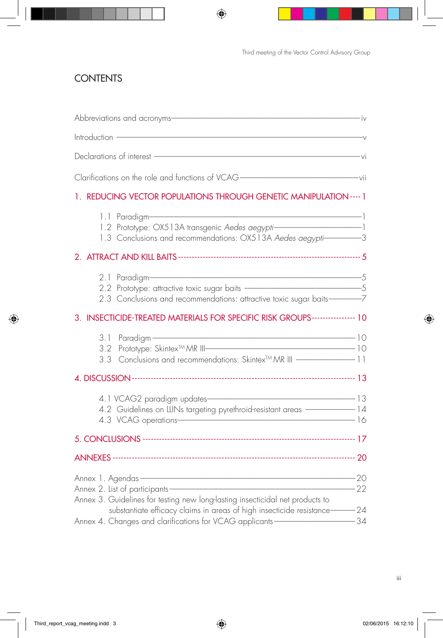# **CONTENTS**

| 1. REDUCING VECTOR POPULATIONS THROUGH GENETIC MANIPULATION ---- 1                                   |  |
|------------------------------------------------------------------------------------------------------|--|
| 1.3 Conclusions and recommendations: OX513A Aedes aegypti---------------------3                      |  |
|                                                                                                      |  |
|                                                                                                      |  |
| 3. INSECTICIDE-TREATED MATERIALS FOR SPECIFIC RISK GROUPS---------------- 10                         |  |
|                                                                                                      |  |
|                                                                                                      |  |
| 4.2 Guidelines on LLINs targeting pyrethroid-resistant areas ------------------- 14<br>$\frac{1}{6}$ |  |
|                                                                                                      |  |
|                                                                                                      |  |
| Annex 3. Guidelines for testing new long-lasting insecticidal net products to                        |  |
| substantiate efficacy claims in areas of high insecticide resistance----------- 24                   |  |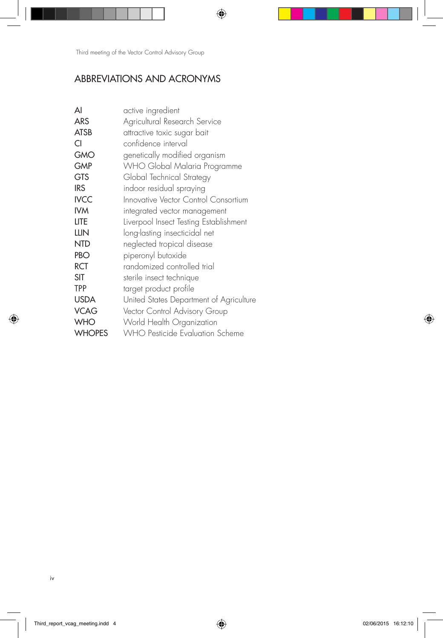# Abbreviations and acronyms

| Al            | active ingredient                       |
|---------------|-----------------------------------------|
| ARS           | Agricultural Research Service           |
| <b>ATSB</b>   | attractive toxic sugar bait             |
| CI            | confidence interval                     |
| GMO           | genetically modified organism           |
| <b>GMP</b>    | WHO Global Malaria Programme            |
| <b>GTS</b>    | Global Technical Strategy               |
| <b>IRS</b>    | indoor residual spraying                |
| <b>IVCC</b>   | Innovative Vector Control Consortium    |
| <b>IVM</b>    | integrated vector management            |
| LITE          | Liverpool Insect Testing Establishment  |
| <b>LLIN</b>   | long-lasting insecticidal net           |
| NTD           | neglected tropical disease              |
| PBO           | piperonyl butoxide                      |
| <b>RCT</b>    | randomized controlled trial             |
| <b>SIT</b>    | sterile insect technique                |
| TPP           | target product profile                  |
| <b>USDA</b>   | United States Department of Agriculture |
| <b>VCAG</b>   | Vector Control Advisory Group           |
| WHO           | World Health Organization               |
| <b>WHOPES</b> | <b>WHO Pesticide Evaluation Scheme</b>  |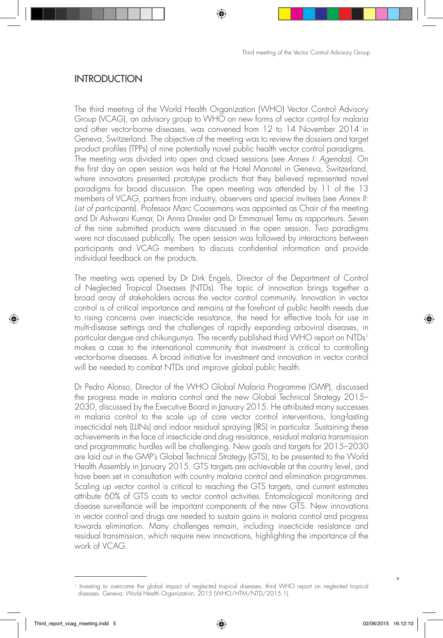# **INTRODUCTION**

The third meeting of the World Health Organization (WHO) Vector Control Advisory Group (VCAG), an advisory group to WHO on new forms of vector control for malaria and other vector-borne diseases, was convened from 12 to 14 November 2014 in Geneva, Switzerland. The objective of the meeting was to review the dossiers and target product profiles (TPPs) of nine potentially novel public health vector control paradigms. The meeting was divided into open and closed sessions (see *Annex I: Agendas*). On the first day an open session was held at the Hotel Manotel in Geneva, Switzerland, where innovators presented prototype products that they believed represented novel paradigms for broad discussion. The open meeting was attended by 11 of the 13 members of VCAG, partners from industry, observers and special invitees (see *Annex II: List of participants*). Professor Marc Coosemans was appointed as Chair of the meeting and Dr Ashwani Kumar, Dr Anna Drexler and Dr Emmanuel Temu as rapporteurs. Seven of the nine submitted products were discussed in the open session. Two paradigms were not discussed publically. The open session was followed by interactions between participants and VCAG members to discuss confidential information and provide individual feedback on the products.

The meeting was opened by Dr Dirk Engels, Director of the Department of Control of Neglected Tropical Diseases (NTDs). The topic of innovation brings together a broad array of stakeholders across the vector control community. Innovation in vector control is of critical importance and remains at the forefront of public health needs due to rising concerns over insecticide resistance, the need for effective tools for use in multi-disease settings and the challenges of rapidly expanding arboviral diseases, in particular dengue and chikungunya. The recently published third WHO report on NTDs<sup>1</sup> makes a case to the international community that investment is critical to controlling vector-borne diseases. A broad initiative for investment and innovation in vector control will be needed to combat NTDs and improve global public health.

Dr Pedro Alonso, Director of the WHO Global Malaria Programme (GMP), discussed the progress made in malaria control and the new Global Technical Strategy 2015– 2030, discussed by the Executive Board in January 2015. He attributed many successes in malaria control to the scale up of core vector control interventions, long-lasting insecticidal nets (LLINs) and indoor residual spraying (IRS) in particular. Sustaining these achievements in the face of insecticide and drug resistance, residual malaria transmission and programmatic hurdles will be challenging. New goals and targets for 2015–2030 are laid out in the GMP's Global Technical Strategy (GTS), to be presented to the World Health Assembly in January 2015. GTS targets are achievable at the country level, and have been set in consultation with country malaria control and elimination programmes. Scaling up vector control is critical to reaching the GTS targets, and current estimates attribute 60% of GTS costs to vector control activities. Entomological monitoring and disease surveillance will be important components of the new GTS. New innovations in vector control and drugs are needed to sustain gains in malaria control and progress towards elimination. Many challenges remain, including insecticide resistance and residual transmission, which require new innovations, highlighting the importance of the work of VCAG.

<sup>1</sup> Investing to overcome the global impact of neglected tropical diseases: third WHO report on neglected tropical diseases. Geneva: World Health Organization; 2015 (WHO/HTM/NTD/2015.1).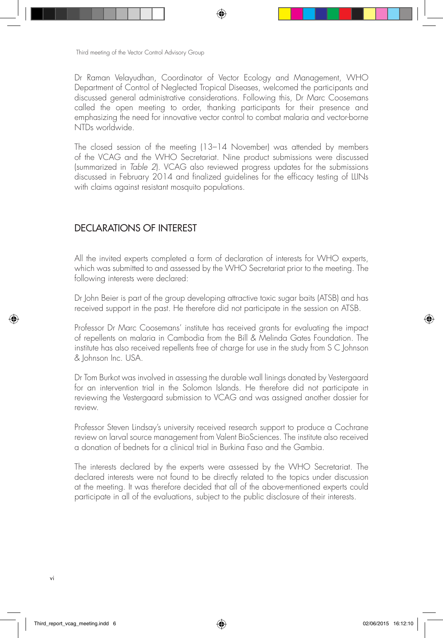Dr Raman Velayudhan, Coordinator of Vector Ecology and Management, WHO Department of Control of Neglected Tropical Diseases, welcomed the participants and discussed general administrative considerations. Following this, Dr Marc Coosemans called the open meeting to order, thanking participants for their presence and emphasizing the need for innovative vector control to combat malaria and vector-borne NTDs worldwide.

The closed session of the meeting (13–14 November) was attended by members of the VCAG and the WHO Secretariat. Nine product submissions were discussed (summarized in *Table 2*). VCAG also reviewed progress updates for the submissions discussed in February 2014 and finalized guidelines for the efficacy testing of LLINs with claims against resistant mosquito populations.

# DECLARATIONS OF INTEREST

All the invited experts completed a form of declaration of interests for WHO experts, which was submitted to and assessed by the WHO Secretariat prior to the meeting. The following interests were declared:

Dr John Beier is part of the group developing attractive toxic sugar baits (ATSB) and has received support in the past. He therefore did not participate in the session on ATSB.

Professor Dr Marc Coosemans' institute has received grants for evaluating the impact of repellents on malaria in Cambodia from the Bill & Melinda Gates Foundation. The institute has also received repellents free of charge for use in the study from S C Johnson & Johnson Inc. USA.

Dr Tom Burkot was involved in assessing the durable wall linings donated by Vestergaard for an intervention trial in the Solomon Islands. He therefore did not participate in reviewing the Vestergaard submission to VCAG and was assigned another dossier for review.

Professor Steven Lindsay's university received research support to produce a Cochrane review on larval source management from Valent BioSciences. The institute also received a donation of bednets for a clinical trial in Burkina Faso and the Gambia.

The interests declared by the experts were assessed by the WHO Secretariat. The declared interests were not found to be directly related to the topics under discussion at the meeting. It was therefore decided that all of the above-mentioned experts could participate in all of the evaluations, subject to the public disclosure of their interests.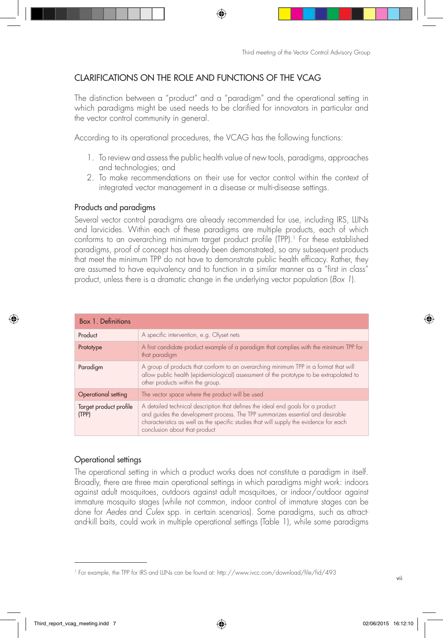# Clarifications on the role and functions of the VCAG

The distinction between a "product" and a "paradigm" and the operational setting in which paradigms might be used needs to be clarified for innovators in particular and the vector control community in general.

According to its operational procedures, the VCAG has the following functions:

- 1. To review and assess the public health value of new tools, paradigms, approaches and technologies; and
- 2. To make recommendations on their use for vector control within the context of integrated vector management in a disease or multi-disease settings.

# Products and paradigms

Several vector control paradigms are already recommended for use, including IRS, LLINs and larvicides. Within each of these paradigms are multiple products, each of which conforms to an overarching minimum target product profile (TPP).<sup>1</sup> For these established paradigms, proof of concept has already been demonstrated, so any subsequent products that meet the minimum TPP do not have to demonstrate public health efficacy. Rather, they are assumed to have equivalency and to function in a similar manner as a "first in class" product, unless there is a dramatic change in the underlying vector population (*Box 1*).

| Box 1. Definitions              |                                                                                                                                                                                                                                                                                              |
|---------------------------------|----------------------------------------------------------------------------------------------------------------------------------------------------------------------------------------------------------------------------------------------------------------------------------------------|
| Product                         | A specific intervention, e.g. Olyset nets                                                                                                                                                                                                                                                    |
| Prototype                       | A first candidate product example of a paradigm that complies with the minimum TPP for<br>that paradigm                                                                                                                                                                                      |
| Paradigm                        | A group of products that conform to an overarching minimum TPP in a format that will<br>allow public health (epidemiological) assessment of the prototype to be extrapolated to<br>other products within the group.                                                                          |
| Operational setting             | The vector space where the product will be used                                                                                                                                                                                                                                              |
| Target product profile<br>(TPP) | A detailed technical description that defines the ideal end goals for a product<br>and guides the development process. The TPP summarizes essential and desirable<br>characteristics as well as the specific studies that will supply the evidence for each<br>conclusion about that product |

# Operational settings

The operational setting in which a product works does not constitute a paradigm in itself. Broadly, there are three main operational settings in which paradigms might work: indoors against adult mosquitoes, outdoors against adult mosquitoes, or indoor/outdoor against immature mosquito stages (while not common, indoor control of immature stages can be done for *Aedes* and *Culex* spp. in certain scenarios). Some paradigms, such as attractand-kill baits, could work in multiple operational settings (Table 1), while some paradigms

<sup>1</sup> For example, the TPP for IRS and LLINs can be found at: http://www.ivcc.com/download/file/fid/493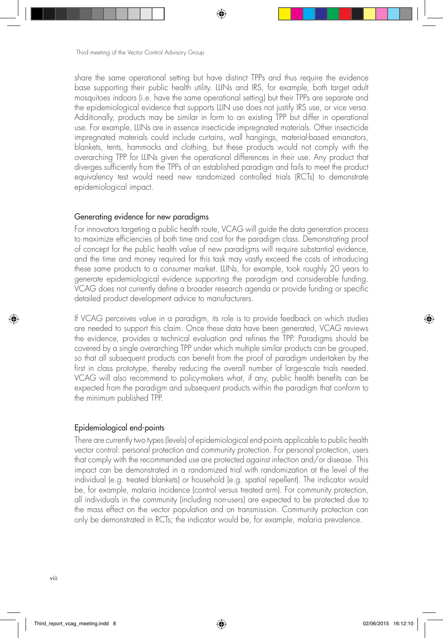share the same operational setting but have distinct TPPs and thus require the evidence base supporting their public health utility. LLINs and IRS, for example, both target adult mosquitoes indoors (i.e. have the same operational setting) but their TPPs are separate and the epidemiological evidence that supports LLIN use does not justify IRS use, or vice versa. Additionally, products may be similar in form to an existing TPP but differ in operational use. For example, LLINs are in essence insecticide impregnated materials. Other insecticide impregnated materials could include curtains, wall hangings, material-based emanators, blankets, tents, hammocks and clothing, but these products would not comply with the overarching TPP for LLINs given the operational differences in their use. Any product that diverges sufficiently from the TPPs of an established paradigm and fails to meet the product equivalency test would need new randomized controlled trials (RCTs) to demonstrate epidemiological impact.

### Generating evidence for new paradigms

For innovators targeting a public health route, VCAG will guide the data generation process to maximize efficiencies of both time and cost for the paradigm class. Demonstrating proof of concept for the public health value of new paradigms will require substantial evidence, and the time and money required for this task may vastly exceed the costs of introducing these same products to a consumer market. LLINs, for example, took roughly 20 years to generate epidemiological evidence supporting the paradigm and considerable funding. VCAG does not currently define a broader research agenda or provide funding or specific detailed product development advice to manufacturers.

If VCAG perceives value in a paradigm, its role is to provide feedback on which studies are needed to support this claim. Once these data have been generated, VCAG reviews the evidence, provides a technical evaluation and refines the TPP. Paradigms should be covered by a single overarching TPP under which multiple similar products can be grouped, so that all subsequent products can benefit from the proof of paradigm undertaken by the first in class prototype, thereby reducing the overall number of large-scale trials needed. VCAG will also recommend to policy-makers what, if any, public health benefits can be expected from the paradigm and subsequent products within the paradigm that conform to the minimum published TPP.

# Epidemiological end-points

There are currently two types (levels) of epidemiological end-points applicable to public health vector control: personal protection and community protection. For personal protection, users that comply with the recommended use are protected against infection and/or disease. This impact can be demonstrated in a randomized trial with randomization at the level of the individual (e.g. treated blankets) or household (e.g. spatial repellent). The indicator would be, for example, malaria incidence (control versus treated arm). For community protection, all individuals in the community (including non-users) are expected to be protected due to the mass effect on the vector population and on transmission. Community protection can only be demonstrated in RCTs; the indicator would be, for example, malaria prevalence.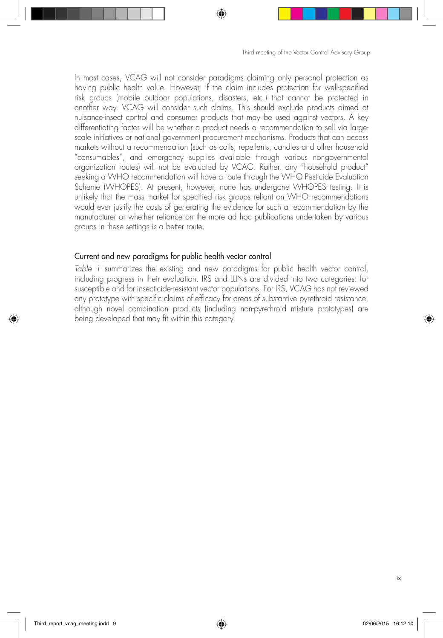In most cases, VCAG will not consider paradigms claiming only personal protection as having public health value. However, if the claim includes protection for well-specified risk groups (mobile outdoor populations, disasters, etc.) that cannot be protected in another way, VCAG will consider such claims. This should exclude products aimed at nuisance-insect control and consumer products that may be used against vectors. A key differentiating factor will be whether a product needs a recommendation to sell via largescale initiatives or national government procurement mechanisms. Products that can access markets without a recommendation (such as coils, repellents, candles and other household "consumables", and emergency supplies available through various nongovernmental organization routes) will not be evaluated by VCAG. Rather, any "household product" seeking a WHO recommendation will have a route through the WHO Pesticide Evaluation Scheme (WHOPES). At present, however, none has undergone WHOPES testing. It is unlikely that the mass market for specified risk groups reliant on WHO recommendations would ever justify the costs of generating the evidence for such a recommendation by the manufacturer or whether reliance on the more ad hoc publications undertaken by various groups in these settings is a better route.

#### Current and new paradigms for public health vector control

*Table 1* summarizes the existing and new paradigms for public health vector control, including progress in their evaluation. IRS and LLINs are divided into two categories: for susceptible and for insecticide-resistant vector populations. For IRS, VCAG has not reviewed any prototype with specific claims of efficacy for areas of substantive pyrethroid resistance, although novel combination products (including non-pyrethroid mixture prototypes) are being developed that may fit within this category.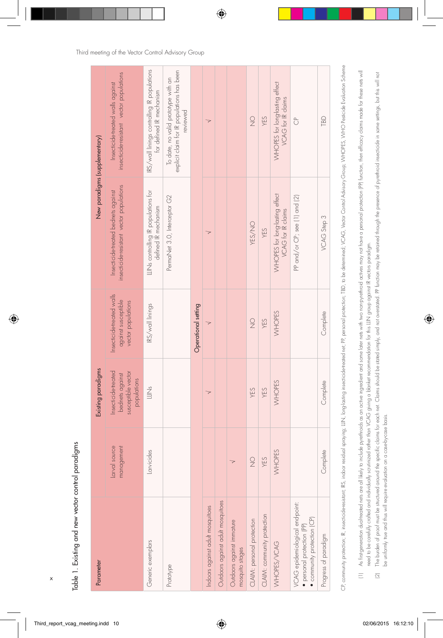| Table 1. Existing and new vector control paradigms                                           |                             |                                                                             |                                                                        |                                                                                 |                                                                                               |
|----------------------------------------------------------------------------------------------|-----------------------------|-----------------------------------------------------------------------------|------------------------------------------------------------------------|---------------------------------------------------------------------------------|-----------------------------------------------------------------------------------------------|
| Parameter                                                                                    |                             | Existing paradigms                                                          |                                                                        |                                                                                 | New paradigms (supplementary)                                                                 |
|                                                                                              | Larval source<br>management | Insecticide-treated<br>susceptible vector<br>bednets against<br>populations | Insecticide-treated walls<br>against susceptible<br>vector populations | insecticide resistant vector populations<br>Insecticide-treated bednets against | insecticide-resistant vector populations<br>Insecticide-treated walls against                 |
| Generic exemplars                                                                            | Larvicides                  | LIINS                                                                       | IRS/wall linings                                                       | LLINs controlling IR populations for<br>defined IR mechanism                    | RS/wall linings controlling IR populations<br>for defined IR mechanism                        |
| Prototype                                                                                    |                             |                                                                             |                                                                        | PermaNet 3.0, Interceptor G2                                                    | explicit claim for IR populations has been<br>To date, no valid prototype with an<br>reviewed |
|                                                                                              |                             |                                                                             | Operational setting                                                    |                                                                                 |                                                                                               |
| Indoors against adult mosquitoes                                                             |                             | >                                                                           | $\overline{\phantom{0}}$                                               | マ                                                                               | 7                                                                                             |
| Outdoors against adult mosquitoes                                                            |                             |                                                                             |                                                                        |                                                                                 |                                                                                               |
| Outdoors against immature<br>mosquito stages                                                 |                             |                                                                             |                                                                        |                                                                                 |                                                                                               |
| CLAIM: personal protection                                                                   | $\frac{0}{2}$               | YES                                                                         | $\frac{1}{2}$                                                          | YES/NO                                                                          | $\frac{1}{2}$                                                                                 |
| CLAIM: community protection                                                                  | YES                         | YES                                                                         | YES                                                                    | YES                                                                             | YES                                                                                           |
| WHOPES/VCAG                                                                                  | <b>WHOPES</b>               | <b>WHOPES</b>                                                               | <b>WHOPES</b>                                                          | WHOPES for long-lasting effect<br>VCAG for IR claims                            | WHOPES for long-lasting effect<br>VCAG for IR claims                                          |
| VCAG epidemiological end-point:<br>· community protection (CP)<br>· personal protection (PP) |                             |                                                                             |                                                                        | PP and/or CP; see [1] and (2)                                                   | ò                                                                                             |
| Progress of paradigm                                                                         | Complete                    | Complete                                                                    | Complete                                                               | VCAG Step 3                                                                     | TBD                                                                                           |

CP, community protection, IR, insecticideresistant; IRS, indoor residual spraying lubul, long-lating inespiriederteated int; PP, personal protection; TBD, to be determined; VCAG, Vector Control Advisory Group; WHO Pesticid CP, community protection, IR, insectioderesistant, IRS, indoor residual sproving langing limity, long-latedrated are including insection and protection, TBD, to be determined; VCAG, Vector Control Advisory Group; WHOPES, W

- As firstgeneration dud-treaded nets are of likely to include pyrelincids as an oriented some later not physion compyrethroid actives may not have a personal protection (PP) function, then efficacy claims made for these net .1) As first generation duckreated nes are all likely to include pyrehroids as an octive ingredient and some later nets with two non-pyrehroid actives may not have a personal protection (PP) function, then efficacy claims need to be carefully crofted and individually scrutinized rather than VCAG giving a blanket recommendation for this LIIN group against IR vectors paradigm. need to be carefully crafted and individually scrutinized rather than VCAG giving a blanket recommendation for this LLIN group against IR vectors paradigm.  $\equiv$ 
	- The burden of proof must be structured around the specific claims for each net. Claims should be stated simply, and not overstated. PP function may be retained through the presence of pyrethroid insecticide in some setting (2) The burden of proof must be structured around the specific claims for each net. Claims should be stated simply, and not overstated. Pf function may be retained through the presence of pyreltroid insecticide in some set be uniformly true and thus will require evaluation on a case-by-case basis. be uniformly true and thus will require evaluation on a case-by-case basis.  $\boxed{2}$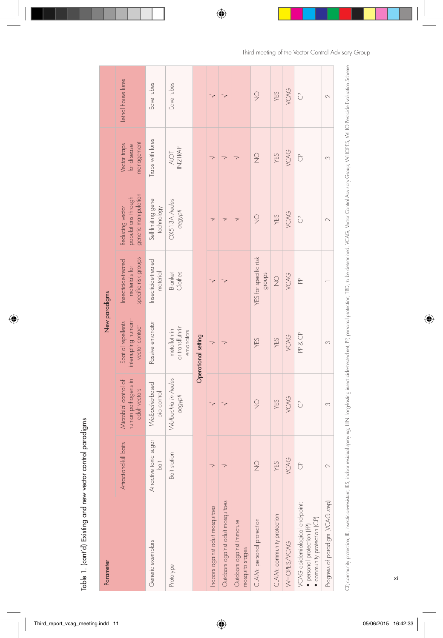| Outdoors against adult mosquitoes<br>Indoors against adult mosquitoes<br>Outdoors against immature<br>CLAIM: personal protection<br>mosquito stages<br>Prototype             | ppos :<br>Bait station<br>Attractive toxic<br>bait<br>$\frac{0}{2}$ | Wolbachia in Aedes<br>Microbial control of<br>human pathogens in<br>Wolbachia-based<br>adult vectors<br>bio control<br>aegypti<br>$\frac{0}{2}$<br>$\overline{\phantom{0}}$<br>$\overline{\phantom{0}}$ | interrupting human-<br>Spatial repellents<br>Passive emanator<br>vector contact<br>or transfluthrin<br>metofluthrin<br>emanators<br>Operational setting<br>YES<br>$\rightarrow$<br>> | YES for specific risk<br>specific risk groups<br>Insecticide-treated<br>Insecticide-treated<br>materials for<br>material<br>Clothes<br>Blanket<br>7<br>7 | genetic manipulation<br>populations through<br>Self-limiting gene<br>OX513A Aedes<br>technology<br>Reducing vector<br>aegypti<br>$\frac{1}{2}$<br>7<br>7<br>7 | Traps with lures<br>management<br>Vector traps<br>for disease<br><b>IN2TRAP</b><br>TOIN<br>$\frac{0}{2}$<br>7<br>7 | Lethal house lures<br>Eave tubes<br>Eave tubes<br>$\frac{0}{2}$<br>⇁<br>⇁ |
|------------------------------------------------------------------------------------------------------------------------------------------------------------------------------|---------------------------------------------------------------------|---------------------------------------------------------------------------------------------------------------------------------------------------------------------------------------------------------|--------------------------------------------------------------------------------------------------------------------------------------------------------------------------------------|----------------------------------------------------------------------------------------------------------------------------------------------------------|---------------------------------------------------------------------------------------------------------------------------------------------------------------|--------------------------------------------------------------------------------------------------------------------|---------------------------------------------------------------------------|
| Progress of paradigm (VCAG step)<br>VCAG epidemiological end-point:<br>CLAIM: community protection<br>· community protection (CP)<br>personal protection (PP)<br>WHOPES/VCAG | VCAG<br>YES<br>ò<br>$\mathbf{\sim}$                                 | VCAG<br>YES<br>ò<br>$\infty$                                                                                                                                                                            | PP & CP<br>VCAG<br>YES<br>S                                                                                                                                                          | groups<br>VCAG<br>$\frac{0}{2}$<br>L                                                                                                                     | VCAG<br>YES<br>ò<br>$\sim$                                                                                                                                    | VCAG<br>YES<br>ò<br>S                                                                                              | VCAG<br>YES<br>ò<br>$\sim$                                                |

Table 1. (cont'd) Existing and new vector control paradigms Table 1. (cont'd) Existing and new vector control paradigms

CP, community protection: IR, insecticideresistant; IRS, indoor residual spaying lubri protection griederecated ret; PP, personal protection; TBD, to be determined; VCAG, Vector Control Advisory Group; WHO Pesticide Evalua CP, community protection, IR, insectioderesistant, IRS, indoor residual spraying, lulk, long-lating insectiodereated in P, personal protection, TBD, to be determined; VCAG, Vector Control Advisory Group; WHOPES, WHO Pestic

Ť.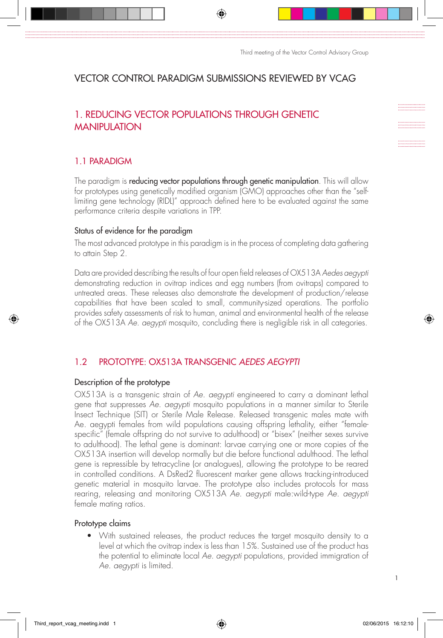# VECTOR CONTROL PARADIGM SUBMISSIONS REVIEWED BY VCAG

# 1. Reducing vector populations through genetic manipulation

## 1.1 Paradigm

The paradiam is reducing vector populations through genetic manipulation. This will allow for prototypes using genetically modified organism (GMO) approaches other than the "selflimiting gene technology (RIDL)" approach defined here to be evaluated against the same performance criteria despite variations in TPP.

#### Status of evidence for the paradigm

The most advanced prototype in this paradigm is in the process of completing data gathering to attain Step 2.

Data are provided describing the results of four open field releases of OX513A *Aedes aegypti*  demonstrating reduction in ovitrap indices and egg numbers (from ovitraps) compared to untreated areas. These releases also demonstrate the development of production/release capabilities that have been scaled to small, community-sized operations. The portfolio provides safety assessments of risk to human, animal and environmental health of the release of the OX513A *Ae. aegypti* mosquito, concluding there is negligible risk in all categories.

## 1.2 Prototype: OX513A transgenic *Aedes aegypti*

#### Description of the prototype

OX513A is a transgenic strain of *Ae. aegypti* engineered to carry a dominant lethal gene that suppresses *Ae. aegypti* mosquito populations in a manner similar to Sterile Insect Technique (SIT) or Sterile Male Release. Released transgenic males mate with Ae. aegypti females from wild populations causing offspring lethality, either "femalespecific" (female offspring do not survive to adulthood) or "bisex" (neither sexes survive to adulthood). The lethal gene is dominant: larvae carrying one or more copies of the OX513A insertion will develop normally but die before functional adulthood. The lethal gene is repressible by tetracycline (or analogues), allowing the prototype to be reared in controlled conditions. A DsRed2 fluorescent marker gene allows tracking-introduced genetic material in mosquito larvae. The prototype also includes protocols for mass rearing, releasing and monitoring OX513A *Ae. aegypti* male:wild-type *Ae. aegypti*  female mating ratios.

#### Prototype claims

• With sustained releases, the product reduces the target mosquito density to a level at which the ovitrap index is less than 15%. Sustained use of the product has the potential to eliminate local *Ae. aegypti* populations, provided immigration of *Ae. aegypti* is limited.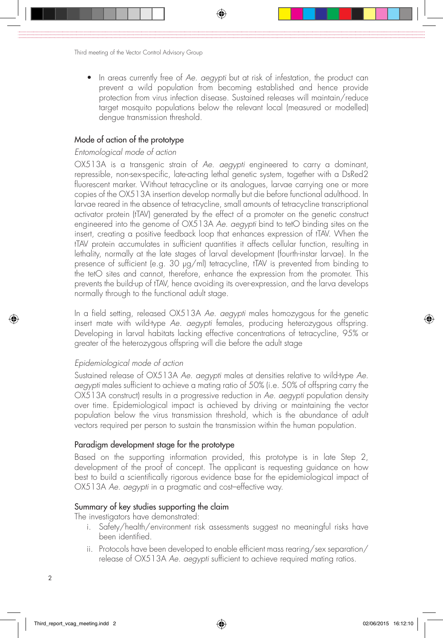• In areas currently free of *Ae. aegypti* but at risk of infestation, the product can prevent a wild population from becoming established and hence provide protection from virus infection disease. Sustained releases will maintain/reduce target mosquito populations below the relevant local (measured or modelled) dengue transmission threshold.

# Mode of action of the prototype

### *Entomological mode of action*

OX513A is a transgenic strain of *Ae. aegypti* engineered to carry a dominant, repressible, non-sex-specific, late-acting lethal genetic system, together with a DsRed2 fluorescent marker. Without tetracycline or its analogues, larvae carrying one or more copies of the OX513A insertion develop normally but die before functional adulthood. In larvae reared in the absence of tetracycline, small amounts of tetracycline transcriptional activator protein (tTAV) generated by the effect of a promoter on the genetic construct engineered into the genome of OX513A *Ae. aegypti* bind to tetO binding sites on the insert, creating a positive feedback loop that enhances expression of tTAV. When the tTAV protein accumulates in sufficient quantities it affects cellular function, resulting in lethality, normally at the late stages of larval development (fourth-instar larvae). In the presence of sufficient (e.g. 30 μg/ml) tetracycline, tTAV is prevented from binding to the tetO sites and cannot, therefore, enhance the expression from the promoter. This prevents the build-up of tTAV, hence avoiding its over-expression, and the larva develops normally through to the functional adult stage.

In a field setting, released OX513A *Ae. aegypti* males homozygous for the genetic insert mate with wild-type *Ae. aegypti* females, producing heterozygous offspring. Developing in larval habitats lacking effective concentrations of tetracycline, 95% or greater of the heterozygous offspring will die before the adult stage

# *Epidemiological mode of action*

Sustained release of OX513A *Ae. aegypti* males at densities relative to wild-type *Ae. aegypti* males sufficient to achieve a mating ratio of 50% (i.e. 50% of offspring carry the OX513A construct) results in a progressive reduction in *Ae. aegypti* population density over time. Epidemiological impact is achieved by driving or maintaining the vector population below the virus transmission threshold, which is the abundance of adult vectors required per person to sustain the transmission within the human population.

#### Paradigm development stage for the prototype

Based on the supporting information provided, this prototype is in late Step 2, development of the proof of concept. The applicant is requesting guidance on how best to build a scientifically rigorous evidence base for the epidemiological impact of OX513A *Ae. aegypti* in a pragmatic and cost–effective way.

#### Summary of key studies supporting the claim

The investigators have demonstrated:

- i. Safety/health/environment risk assessments suggest no meaningful risks have been identified.
- ii. Protocols have been developed to enable efficient mass rearing/sex separation/ release of OX513A *Ae. aegypti* sufficient to achieve required mating ratios.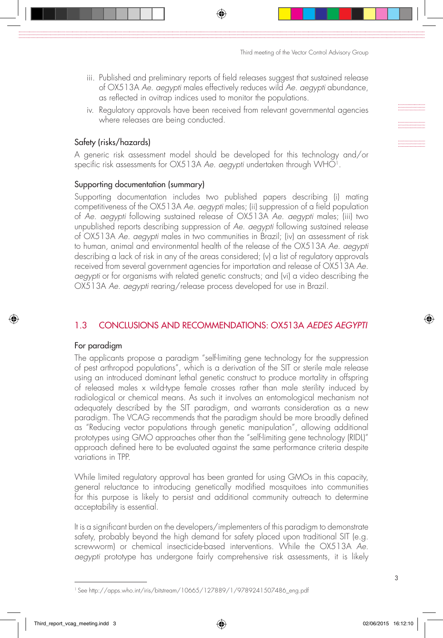- iii. Published and preliminary reports of field releases suggest that sustained release of OX513A *Ae. aegypti* males effectively reduces wild *Ae. aegypti* abundance, as reflected in ovitrap indices used to monitor the populations.
- iv. Regulatory approvals have been received from relevant governmental agencies where releases are being conducted.

# Safety (risks/hazards)

A generic risk assessment model should be developed for this technology and/or specific risk assessments for OX513A *Ae. aegypti* undertaken through WHO1.

### Supporting documentation (summary)

Supporting documentation includes two published papers describing (i) mating competitiveness of the OX513A *Ae. aegypti* males; (ii) suppression of a field population of *Ae. aegypti* following sustained release of OX513A *Ae. aegypti* males; (iii) two unpublished reports describing suppression of *Ae. aegypti* following sustained release of OX513A *Ae. aegypti* males in two communities in Brazil; (iv) an assessment of risk to human, animal and environmental health of the release of the OX513A *Ae. aegypti*  describing a lack of risk in any of the areas considered; (v) a list of regulatory approvals received from several government agencies for importation and release of OX513A *Ae. aegypti* or for organisms with related genetic constructs; and (vi) a video describing the OX513A *Ae. aegypti* rearing/release process developed for use in Brazil.

# 1.3 Conclusions and recommendations: OX513A *Aedes aegypti*

#### For paradigm

The applicants propose a paradigm "self-limiting gene technology for the suppression of pest arthropod populations", which is a derivation of the SIT or sterile male release using an introduced dominant lethal genetic construct to produce mortality in offspring of released males x wild-type female crosses rather than male sterility induced by radiological or chemical means. As such it involves an entomological mechanism not adequately described by the SIT paradigm, and warrants consideration as a new paradigm. The VCAG recommends that the paradigm should be more broadly defined as "Reducing vector populations through genetic manipulation", allowing additional prototypes using GMO approaches other than the "self-limiting gene technology (RIDL)" approach defined here to be evaluated against the same performance criteria despite variations in TPP.

While limited regulatory approval has been granted for using GMOs in this capacity, general reluctance to introducing genetically modified mosquitoes into communities for this purpose is likely to persist and additional community outreach to determine acceptability is essential.

It is a significant burden on the developers/implementers of this paradigm to demonstrate safety, probably beyond the high demand for safety placed upon traditional SIT (e.g. screwworm) or chemical insecticide-based interventions. While the OX513A *Ae. aegypti* prototype has undergone fairly comprehensive risk assessments, it is likely  $\frac{1}{1}$ 

<sup>1</sup> See http://apps.who.int/iris/bitstream/10665/127889/1/9789241507486\_eng.pdf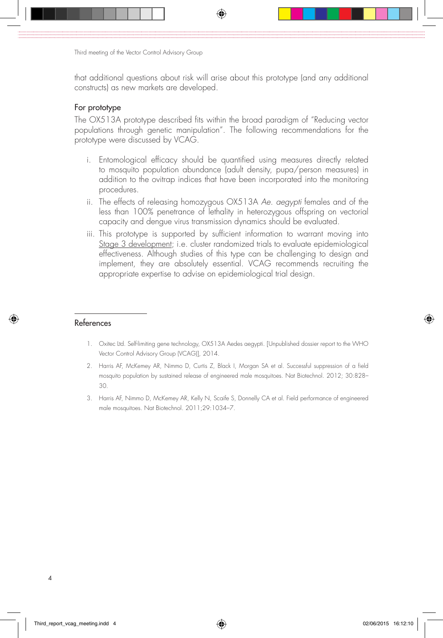that additional questions about risk will arise about this prototype (and any additional constructs) as new markets are developed.

#### For prototype

The OX513A prototype described fits within the broad paradigm of "Reducing vector populations through genetic manipulation". The following recommendations for the prototype were discussed by VCAG.

- i. Entomological efficacy should be quantified using measures directly related to mosquito population abundance (adult density, pupa/person measures) in addition to the ovitrap indices that have been incorporated into the monitoring procedures.
- ii. The effects of releasing homozygous OX513A *Ae. aegypti* females and of the less than 100% penetrance of lethality in heterozygous offspring on vectorial capacity and dengue virus transmission dynamics should be evaluated.
- iii. This prototype is supported by sufficient information to warrant moving into Stage 3 development; i.e. cluster randomized trials to evaluate epidemiological effectiveness. Although studies of this type can be challenging to design and implement, they are absolutely essential. VCAG recommends recruiting the appropriate expertise to advise on epidemiological trial design.

#### References

- 1. Oxitec Ltd. Self-limiting gene technology, OX513A Aedes aegypti. [Unpublished dossier report to the WHO Vector Control Advisory Group (VCAG)], 2014.
- 2. Harris AF, McKemey AR, Nimmo D, Curtis Z, Black I, Morgan SA et al. Successful suppression of a field mosquito population by sustained release of engineered male mosquitoes. Nat Biotechnol. 2012; 30:828– 30.
- 3. Harris AF, Nimmo D, McKemey AR, Kelly N, Scaife S, Donnelly CA et al. Field performance of engineered male mosquitoes. Nat Biotechnol. 2011;29:1034–7.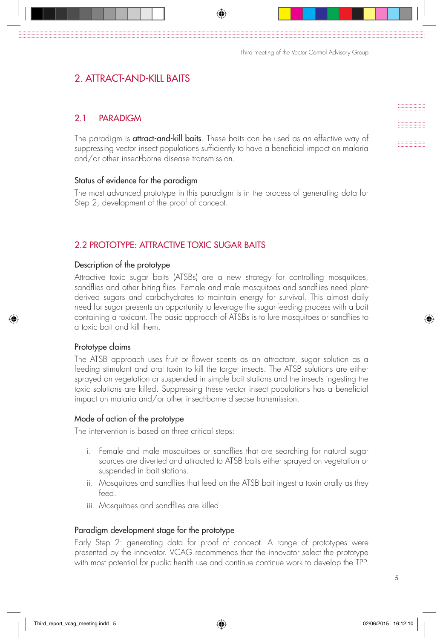# 2. Attract-and-kill baits

#### 2.1 PARADIGM

The paradigm is **attract-and-kill baits**. These baits can be used as an effective way of suppressing vector insect populations sufficiently to have a beneficial impact on malaria and/or other insect-borne disease transmission.

#### Status of evidence for the paradigm

The most advanced prototype in this paradigm is in the process of generating data for Step 2, development of the proof of concept.

### 2.2 Prototype: attractive toxic sugar baits

#### Description of the prototype

Attractive toxic sugar baits (ATSBs) are a new strategy for controlling mosquitoes, sandflies and other biting flies. Female and male mosquitoes and sandflies need plantderived sugars and carbohydrates to maintain energy for survival. This almost daily need for sugar presents an opportunity to leverage the sugar-feeding process with a bait containing a toxicant. The basic approach of ATSBs is to lure mosquitoes or sandflies to a toxic bait and kill them.

#### Prototype claims

The ATSB approach uses fruit or flower scents as an attractant, sugar solution as a feeding stimulant and oral toxin to kill the target insects. The ATSB solutions are either sprayed on vegetation or suspended in simple bait stations and the insects ingesting the toxic solutions are killed. Suppressing these vector insect populations has a beneficial impact on malaria and/or other insect-borne disease transmission.

#### Mode of action of the prototype

The intervention is based on three critical steps:

- i. Female and male mosquitoes or sandflies that are searching for natural sugar sources are diverted and attracted to ATSB baits either sprayed on vegetation or suspended in bait stations.
- ii. Mosquitoes and sandflies that feed on the ATSB bait ingest a toxin orally as they feed.
- iii. Mosquitoes and sandflies are killed.

#### Paradigm development stage for the prototype

Early Step 2: generating data for proof of concept. A range of prototypes were presented by the innovator. VCAG recommends that the innovator select the prototype with most potential for public health use and continue continue work to develop the TPP.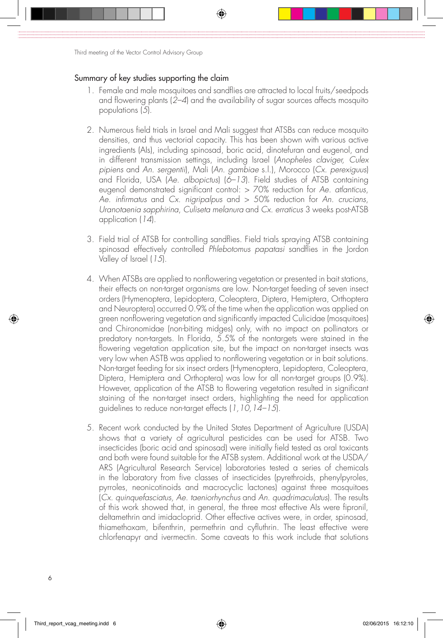## Summary of key studies supporting the claim

- 1. Female and male mosquitoes and sandflies are attracted to local fruits/seedpods and flowering plants (*2–4*) and the availability of sugar sources affects mosquito populations (*5*).
- 2. Numerous field trials in Israel and Mali suggest that ATSBs can reduce mosquito densities, and thus vectorial capacity. This has been shown with various active ingredients (AIs), including spinosad, boric acid, dinotefuran and eugenol, and in different transmission settings, including Israel (*Anopheles claviger, Culex pipiens* and *An. sergentii*), Mali (*An. gambiae* s.l.), Morocco (*Cx. perexiguus*) and Florida, USA (*Ae. albopictus*) (*6–13*). Field studies of ATSB containing eugenol demonstrated significant control: > 70% reduction for *Ae. atlanticus*, *Ae. infirmatus* and *Cx. nigripalpus* and > 50% reduction for *An. crucians*, *Uranotaenia sapphirina*, *Culiseta melanura* and *Cx. erraticus* 3 weeks post-ATSB application (*14*).
- 3. Field trial of ATSB for controlling sandflies. Field trials spraying ATSB containing spinosad effectively controlled *Phlebotomus papatasi* sandflies in the Jordon Valley of Israel (*15*).
- 4. When ATSBs are applied to nonflowering vegetation or presented in bait stations, their effects on non-target organisms are low. Non-target feeding of seven insect orders (Hymenoptera, Lepidoptera, Coleoptera, Diptera, Hemiptera, Orthoptera and Neuroptera) occurred 0.9% of the time when the application was applied on green nonflowering vegetation and significantly impacted Culicidae (mosquitoes) and Chironomidae (non-biting midges) only, with no impact on pollinators or predatory non-targets. In Florida, 5.5% of the nontargets were stained in the flowering vegetation application site, but the impact on non-target insects was very low when ASTB was applied to nonflowering vegetation or in bait solutions. Non-target feeding for six insect orders (Hymenoptera, Lepidoptera, Coleoptera, Diptera, Hemiptera and Orthoptera) was low for all non-target groups (0.9%). However, application of the ATSB to flowering vegetation resulted in significant staining of the non-target insect orders, highlighting the need for application guidelines to reduce non-target effects (*1,10,14–15*).
- 5. Recent work conducted by the United States Department of Agriculture (USDA) shows that a variety of agricultural pesticides can be used for ATSB. Two insecticides (boric acid and spinosad) were initially field tested as oral toxicants and both were found suitable for the ATSB system. Additional work at the USDA/ ARS (Agricultural Research Service) laboratories tested a series of chemicals in the laboratory from five classes of insecticides (pyrethroids, phenylpyroles, pyrroles, neonicotinoids and macrocyclic lactones) against three mosquitoes (*Cx. quinquefasciatus, Ae. taeniorhynchus* and *An. quadrimaculatus*). The results of this work showed that, in general, the three most effective AIs were fipronil, deltamethrin and imidacloprid. Other effective actives were, in order, spinosad, thiamethoxam, bifenthrin, permethrin and cyfluthrin. The least effective were chlorfenapyr and ivermectin. Some caveats to this work include that solutions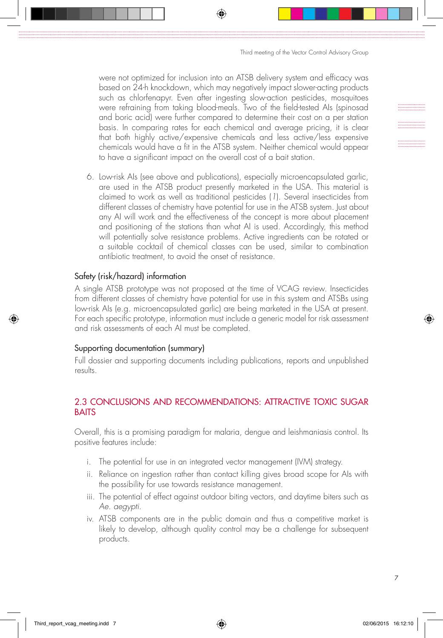were not optimized for inclusion into an ATSB delivery system and efficacy was based on 24-h knockdown, which may negatively impact slower-acting products such as chlorfenapyr. Even after ingesting slow-action pesticides, mosquitoes were refraining from taking blood-meals. Two of the field-tested AIs (spinosad and boric acid) were further compared to determine their cost on a per station basis. In comparing rates for each chemical and average pricing, it is clear that both highly active/expensive chemicals and less active/less expensive chemicals would have a fit in the ATSB system. Neither chemical would appear to have a significant impact on the overall cost of a bait station.

6. Low-risk AIs (see above and publications), especially microencapsulated garlic, are used in the ATSB product presently marketed in the USA. This material is claimed to work as well as traditional pesticides (*1*). Several insecticides from different classes of chemistry have potential for use in the ATSB system. Just about any AI will work and the effectiveness of the concept is more about placement and positioning of the stations than what AI is used. Accordingly, this method will potentially solve resistance problems. Active ingredients can be rotated or a suitable cocktail of chemical classes can be used, similar to combination antibiotic treatment, to avoid the onset of resistance.

### Safety (risk/hazard) information

A single ATSB prototype was not proposed at the time of VCAG review. Insecticides from different classes of chemistry have potential for use in this system and ATSBs using low-risk AIs (e.g. microencapsulated garlic) are being marketed in the USA at present. For each specific prototype, information must include a generic model for risk assessment and risk assessments of each AI must be completed.

#### Supporting documentation (summary)

Full dossier and supporting documents including publications, reports and unpublished results.

### 2.3 Conclusions and recommendations: attractive toxic sugar **BAITS**

Overall, this is a promising paradigm for malaria, dengue and leishmaniasis control. Its positive features include:

- i. The potential for use in an integrated vector management (IVM) strategy.
- ii. Reliance on ingestion rather than contact killing gives broad scope for AIs with the possibility for use towards resistance management.
- iii. The potential of effect against outdoor biting vectors, and daytime biters such as *Ae. aegypti*.
- iv. ATSB components are in the public domain and thus a competitive market is likely to develop, although quality control may be a challenge for subsequent products.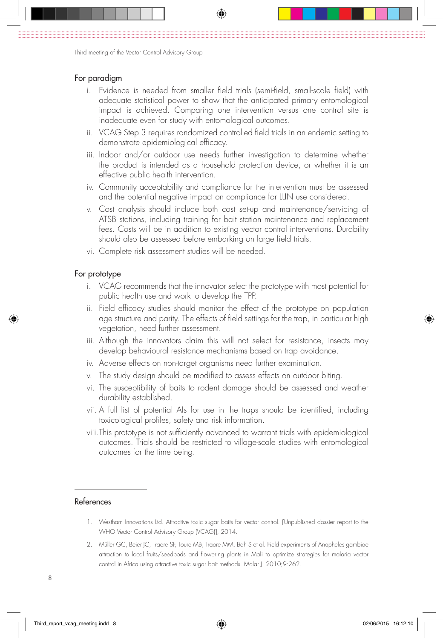## For paradigm

- i. Evidence is needed from smaller field trials (semi-field, small-scale field) with adequate statistical power to show that the anticipated primary entomological impact is achieved. Comparing one intervention versus one control site is inadequate even for study with entomological outcomes.
- ii. VCAG Step 3 requires randomized controlled field trials in an endemic setting to demonstrate epidemiological efficacy.
- iii. Indoor and/or outdoor use needs further investigation to determine whether the product is intended as a household protection device, or whether it is an effective public health intervention.
- iv. Community acceptability and compliance for the intervention must be assessed and the potential negative impact on compliance for LLIN use considered.
- v. Cost analysis should include both cost set-up and maintenance/servicing of ATSB stations, including training for bait station maintenance and replacement fees. Costs will be in addition to existing vector control interventions. Durability should also be assessed before embarking on large field trials.
- vi. Complete risk assessment studies will be needed.

#### For prototype

- i. VCAG recommends that the innovator select the prototype with most potential for public health use and work to develop the TPP.
- ii. Field efficacy studies should monitor the effect of the prototype on population age structure and parity. The effects of field settings for the trap, in particular high vegetation, need further assessment.
- iii. Although the innovators claim this will not select for resistance, insects may develop behavioural resistance mechanisms based on trap avoidance.
- iv. Adverse effects on non-target organisms need further examination.
- v. The study design should be modified to assess effects on outdoor biting.
- vi. The susceptibility of baits to rodent damage should be assessed and weather durability established.
- vii. A full list of potential AIs for use in the traps should be identified, including toxicological profiles, safety and risk information.
- viii.This prototype is not sufficiently advanced to warrant trials with epidemiological outcomes. Trials should be restricted to village-scale studies with entomological outcomes for the time being.

#### References

- 1. Westham Innovations Ltd. Attractive toxic sugar baits for vector control. [Unpublished dossier report to the WHO Vector Control Advisory Group (VCAG)], 2014.
- 2. Müller GC, Beier JC, Traore SF, Toure MB, Traore MM, Bah S et al. Field experiments of Anopheles gambiae attraction to local fruits/seedpods and flowering plants in Mali to optimize strategies for malaria vector control in Africa using attractive toxic sugar bait methods. Malar J. 2010;9:262.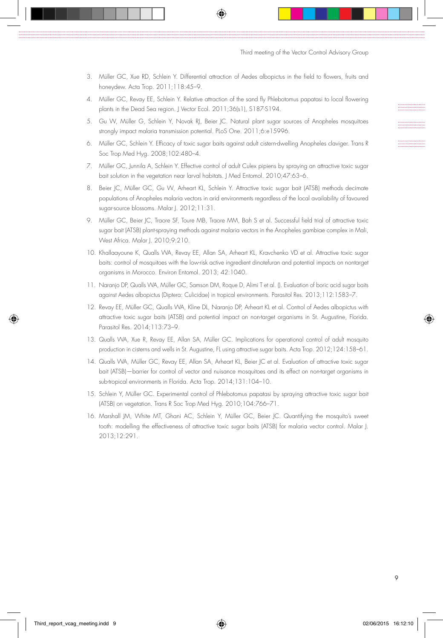- 3. Müller GC, Xue RD, Schlein Y. Differential attraction of Aedes albopictus in the field to flowers, fruits and honeydew. Acta Trop. 2011;118:45-9.
- 4. Müller GC, Revay EE, Schlein Y. Relative attraction of the sand fly Phlebotomus papatasi to local flowering plants in the Dead Sea region. J Vector Ecol. 2011;36(s1), S187-S194.
- 5. Gu W, Müller G, Schlein Y, Novak RJ, Beier JC. Natural plant sugar sources of Anopheles mosquitoes strongly impact malaria transmission potential. PLoS One. 2011;6:e15996.
- 6. Müller GC, Schlein Y. Efficacy of toxic sugar baits against adult cistern-dwelling Anopheles claviger. Trans R Soc Trop Med Hyg. 2008;102:480–4.
- 7. Müller GC, Junnila A, Schlein Y. Effective control of adult Culex pipiens by spraying an attractive toxic sugar bait solution in the vegetation near larval habitats. J Med Entomol. 2010;47:63–6.
- 8. Beier JC, Müller GC, Gu W, Arheart KL, Schlein Y. Attractive toxic sugar bait (ATSB) methods decimate populations of Anopheles malaria vectors in arid environments regardless of the local availability of favoured sugar-source blossoms. Malar J. 2012;11:31.
- 9. Müller GC, Beier JC, Traore SF, Toure MB, Traore MM, Bah S et al. Successful field trial of attractive toxic sugar bait (ATSB) plant-spraying methods against malaria vectors in the Anopheles gambiae complex in Mali, West Africa. Malar J. 2010;9:210.
- 10. Khallaayoune K, Qualls WA, Revay EE, Allan SA, Arheart KL, Kravchenko VD et al. Attractive toxic sugar baits: control of mosquitoes with the low-risk active ingredient dinotefuran and potential impacts on nontarget organisms in Morocco. Environ Entomol. 2013; 42:1040.
- 11. Naranjo DP, Qualls WA, Müller GC, Samson DM, Roque D, Alimi T et al. (). Evaluation of boric acid sugar baits against Aedes albopictus (Diptera: Culicidae) in tropical environments. Parasitol Res. 2013;112:1583–7.
- 12. Revay EE, Müller GC, Qualls WA, Kline DL, Naranjo DP, Arheart KL et al. Control of Aedes albopictus with attractive toxic sugar baits (ATSB) and potential impact on non-target organisms in St. Augustine, Florida. Parasitol Res. 2014;113:73–9.
- 13. Qualls WA, Xue R, Revay EE, Allan SA, Müller GC. Implications for operational control of adult mosquito production in cisterns and wells in St. Augustine, FL using attractive sugar baits. Acta Trop. 2012;124:158–61.
- 14. Qualls WA, Müller GC, Revay EE, Allan SA, Arheart KL, Beier JC et al. Evaluation of attractive toxic sugar bait (ATSB)—barrier for control of vector and nuisance mosquitoes and its effect on non-target organisms in sub-tropical environments in Florida. Acta Trop. 2014;131:104–10.
- 15. Schlein Y, Müller GC. Experimental control of Phlebotomus papatasi by spraying attractive toxic sugar bait (ATSB) on vegetation. Trans R Soc Trop Med Hyg. 2010;104:766–71.
- 16. Marshall JM, White MT, Ghani AC, Schlein Y, Müller GC, Beier JC. Quantifying the mosquito's sweet tooth: modelling the effectiveness of attractive toxic sugar baits (ATSB) for malaria vector control. Malar J. 2013;12:291.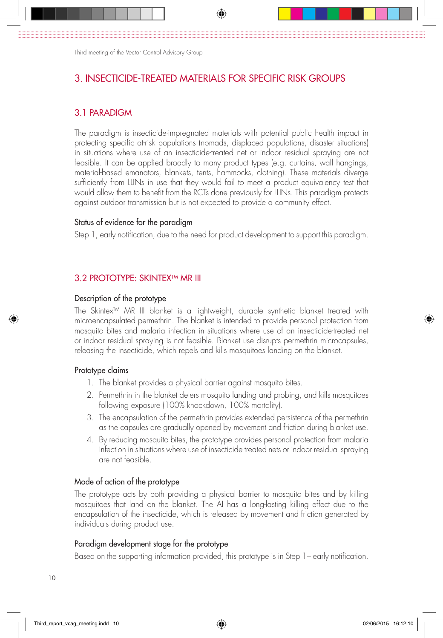# 3. Insecticide-treated materials for specific risk groups

# 3.1 Paradigm

The paradigm is insecticide-impregnated materials with potential public health impact in protecting specific at-risk populations (nomads, displaced populations, disaster situations) in situations where use of an insecticide-treated net or indoor residual spraying are not feasible. It can be applied broadly to many product types (e.g. curtains, wall hangings, material-based emanators, blankets, tents, hammocks, clothing). These materials diverge sufficiently from LLINs in use that they would fail to meet a product equivalency test that would allow them to benefit from the RCTs done previously for LLINs. This paradigm protects against outdoor transmission but is not expected to provide a community effect.

#### Status of evidence for the paradigm

Step 1, early notification, due to the need for product development to support this paradigm.

# 3.2 PROTOTYPE· SKINTEX™ MR III

#### Description of the prototype

The Skintex<sup>TM</sup> MR III blanket is a lightweight, durable synthetic blanket treated with microencapsulated permethrin. The blanket is intended to provide personal protection from mosquito bites and malaria infection in situations where use of an insecticide-treated net or indoor residual spraying is not feasible. Blanket use disrupts permethrin microcapsules, releasing the insecticide, which repels and kills mosquitoes landing on the blanket.

#### Prototype claims

- 1. The blanket provides a physical barrier against mosquito bites.
- 2. Permethrin in the blanket deters mosquito landing and probing, and kills mosquitoes following exposure (100% knockdown, 100% mortality).
- 3. The encapsulation of the permethrin provides extended persistence of the permethrin as the capsules are gradually opened by movement and friction during blanket use.
- 4. By reducing mosquito bites, the prototype provides personal protection from malaria infection in situations where use of insecticide treated nets or indoor residual spraying are not feasible.

#### Mode of action of the prototype

The prototype acts by both providing a physical barrier to mosquito bites and by killing mosquitoes that land on the blanket. The AI has a long-lasting killing effect due to the encapsulation of the insecticide, which is released by movement and friction generated by individuals during product use.

#### Paradigm development stage for the prototype

Based on the supporting information provided, this prototype is in Step 1– early notification.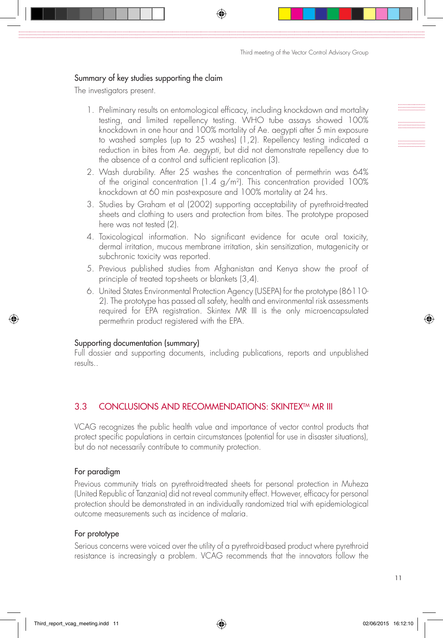#### Summary of key studies supporting the claim

The investigators present.

- 1. Preliminary results on entomological efficacy, including knockdown and mortality testing, and limited repellency testing. WHO tube assays showed 100% knockdown in one hour and 100% mortality of Ae. aegypti after 5 min exposure to washed samples (up to 25 washes) (1,2). Repellency testing indicated a reduction in bites from *Ae. aegypti*, but did not demonstrate repellency due to the absence of a control and sufficient replication (3).
- 2. Wash durability. After 25 washes the concentration of permethrin was 64% of the original concentration  $(1.4 \text{ g/m}^2)$ . This concentration provided 100% knockdown at 60 min post-exposure and 100% mortality at 24 hrs.
- 3. Studies by Graham et al (2002) supporting acceptability of pyrethroid-treated sheets and clothing to users and protection from bites. The prototype proposed here was not tested (2).
- 4. Toxicological information. No significant evidence for acute oral toxicity, dermal irritation, mucous membrane irritation, skin sensitization, mutagenicity or subchronic toxicity was reported.
- 5. Previous published studies from Afghanistan and Kenya show the proof of principle of treated top-sheets or blankets (3,4).
- 6. United States Environmental Protection Agency (USEPA) for the prototype (86110- 2). The prototype has passed all safety, health and environmental risk assessments required for EPA registration. Skintex MR III is the only microencapsulated permethrin product registered with the EPA.

#### Supporting documentation (summary)

Full dossier and supporting documents, including publications, reports and unpublished results..

# 3.3 CONCLUSIONS AND RECOMMENDATIONS: SKINTEX™ MR III

VCAG recognizes the public health value and importance of vector control products that protect specific populations in certain circumstances (potential for use in disaster situations), but do not necessarily contribute to community protection.

#### For paradigm

Previous community trials on pyrethroid-treated sheets for personal protection in Muheza (United Republic of Tanzania) did not reveal community effect. However, efficacy for personal protection should be demonstrated in an individually randomized trial with epidemiological outcome measurements such as incidence of malaria.

#### For prototype

Serious concerns were voiced over the utility of a pyrethroid-based product where pyrethroid resistance is increasingly a problem. VCAG recommends that the innovators follow the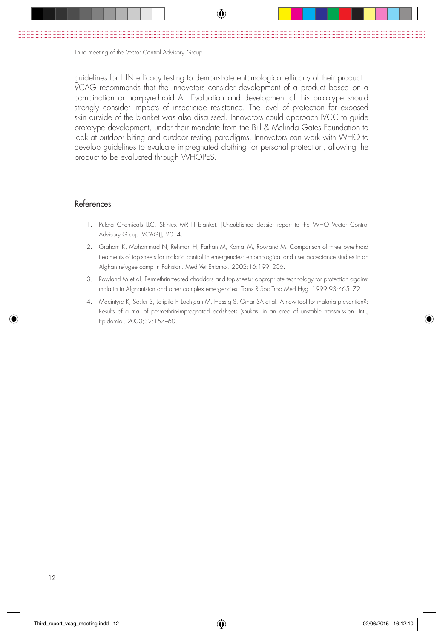Third meeting of the Vector Control Advisory Group

guidelines for LLIN efficacy testing to demonstrate entomological efficacy of their product. VCAG recommends that the innovators consider development of a product based on a combination or non-pyrethroid AI. Evaluation and development of this prototype should strongly consider impacts of insecticide resistance. The level of protection for exposed skin outside of the blanket was also discussed. Innovators could approach IVCC to guide prototype development, under their mandate from the Bill & Melinda Gates Foundation to look at outdoor biting and outdoor resting paradigms. Innovators can work with WHO to develop guidelines to evaluate impregnated clothing for personal protection, allowing the product to be evaluated through WHOPES.

#### References

- 1. Pulcra Chemicals LLC. Skintex MR III blanket. [Unpublished dossier report to the WHO Vector Control Advisory Group (VCAG)], 2014.
- 2. Graham K, Mohammad N, Rehman H, Farhan M, Kamal M, Rowland M. Comparison of three pyrethroid treatments of top-sheets for malaria control in emergencies: entomological and user acceptance studies in an Afghan refugee camp in Pakistan. Med Vet Entomol. 2002;16:199–206.
- 3. Rowland M et al. Permethrin-treated chaddars and top-sheets: appropriate technology for protection against malaria in Afghanistan and other complex emergencies. Trans R Soc Trop Med Hyg. 1999;93:465–72.
- 4. Macintyre K, Sosler S, Letipila F, Lochigan M, Hassig S, Omar SA et al. A new tool for malaria prevention?: Results of a trial of permethrin-impregnated bedsheets (shukas) in an area of unstable transmission. Int J Epidemiol. 2003;32:157–60.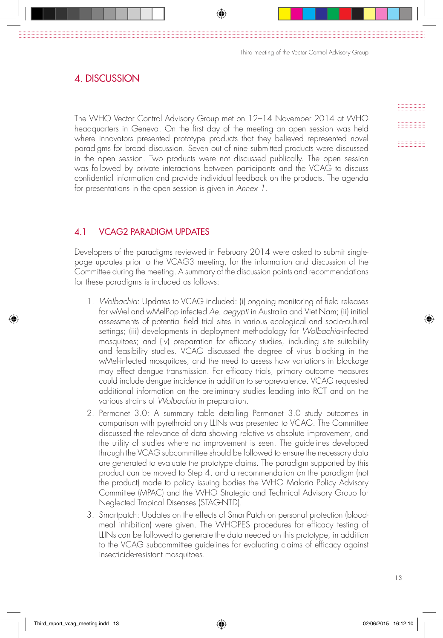# 4. DISCUSSION

The WHO Vector Control Advisory Group met on 12–14 November 2014 at WHO headquarters in Geneva. On the first day of the meeting an open session was held where innovators presented prototype products that they believed represented novel paradigms for broad discussion. Seven out of nine submitted products were discussed in the open session. Two products were not discussed publically. The open session was followed by private interactions between participants and the VCAG to discuss confidential information and provide individual feedback on the products. The agenda for presentations in the open session is given in *Annex 1*.

#### 4.1 VCAG2 PARADIGM UPDATES

Developers of the paradigms reviewed in February 2014 were asked to submit singlepage updates prior to the VCAG3 meeting, for the information and discussion of the Committee during the meeting. A summary of the discussion points and recommendations for these paradigms is included as follows:

- 1. *Wolbachia*: Updates to VCAG included: (i) ongoing monitoring of field releases for wMel and wMelPop infected *Ae. aegypti* in Australia and Viet Nam; (ii) initial assessments of potential field trial sites in various ecological and socio-cultural settings; (iii) developments in deployment methodology for *Wolbachia*-infected mosquitoes; and (iv) preparation for efficacy studies, including site suitability and feasibility studies. VCAG discussed the degree of virus blocking in the wMel-infected mosquitoes, and the need to assess how variations in blockage may effect dengue transmission. For efficacy trials, primary outcome measures could include dengue incidence in addition to seroprevalence. VCAG requested additional information on the preliminary studies leading into RCT and on the various strains of *Wolbachia* in preparation.
- 2. Permanet 3.0: A summary table detailing Permanet 3.0 study outcomes in comparison with pyrethroid only LLINs was presented to VCAG. The Committee discussed the relevance of data showing relative vs absolute improvement, and the utility of studies where no improvement is seen. The guidelines developed through the VCAG subcommittee should be followed to ensure the necessary data are generated to evaluate the prototype claims. The paradigm supported by this product can be moved to Step 4, and a recommendation on the paradigm (not the product) made to policy issuing bodies the WHO Malaria Policy Advisory Committee (MPAC) and the WHO Strategic and Technical Advisory Group for Neglected Tropical Diseases (STAG-NTD).
- 3. Smartpatch: Updates on the effects of SmartPatch on personal protection (bloodmeal inhibition) were given. The WHOPES procedures for efficacy testing of LLINs can be followed to generate the data needed on this prototype, in addition to the VCAG subcommittee guidelines for evaluating claims of efficacy against insecticide-resistant mosquitoes.

 $\frac{1}{1}$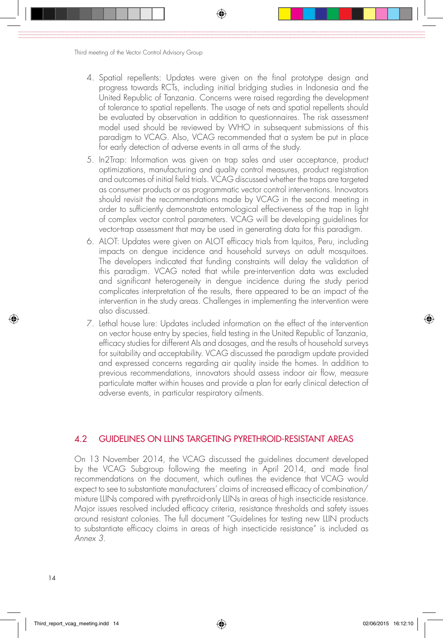- 4. Spatial repellents: Updates were given on the final prototype design and progress towards RCTs, including initial bridging studies in Indonesia and the United Republic of Tanzania. Concerns were raised regarding the development of tolerance to spatial repellents. The usage of nets and spatial repellents should be evaluated by observation in addition to questionnaires. The risk assessment model used should be reviewed by WHO in subsequent submissions of this paradigm to VCAG. Also, VCAG recommended that a system be put in place for early detection of adverse events in all arms of the study.
- 5. In2Trap: Information was given on trap sales and user acceptance, product optimizations, manufacturing and quality control measures, product registration and outcomes of initial field trials. VCAG discussed whether the traps are targeted as consumer products or as programmatic vector control interventions. Innovators should revisit the recommendations made by VCAG in the second meeting in order to sufficiently demonstrate entomological effectiveness of the trap in light of complex vector control parameters. VCAG will be developing guidelines for vector-trap assessment that may be used in generating data for this paradigm.
- 6. ALOT: Updates were given on ALOT efficacy trials from Iquitos, Peru, including impacts on dengue incidence and household surveys on adult mosquitoes. The developers indicated that funding constraints will delay the validation of this paradigm. VCAG noted that while pre-intervention data was excluded and significant heterogeneity in dengue incidence during the study period complicates interpretation of the results, there appeared to be an impact of the intervention in the study areas. Challenges in implementing the intervention were also discussed.
- 7. Lethal house lure: Updates included information on the effect of the intervention on vector house entry by species, field testing in the United Republic of Tanzania, efficacy studies for different AIs and dosages, and the results of household surveys for suitability and acceptability. VCAG discussed the paradigm update provided and expressed concerns regarding air quality inside the homes. In addition to previous recommendations, innovators should assess indoor air flow, measure particulate matter within houses and provide a plan for early clinical detection of adverse events, in particular respiratory ailments.

# 4.2 GUIDELINES ON LLINs TARGETING PYRETHROID-RESISTANT AREAS

On 13 November 2014, the VCAG discussed the guidelines document developed by the VCAG Subgroup following the meeting in April 2014, and made final recommendations on the document, which outlines the evidence that VCAG would expect to see to substantiate manufacturers' claims of increased efficacy of combination/ mixture LLINs compared with pyrethroid-only LLINs in areas of high insecticide resistance. Major issues resolved included efficacy criteria, resistance thresholds and safety issues around resistant colonies. The full document "Guidelines for testing new LLIN products to substantiate efficacy claims in areas of high insecticide resistance" is included as *Annex 3*.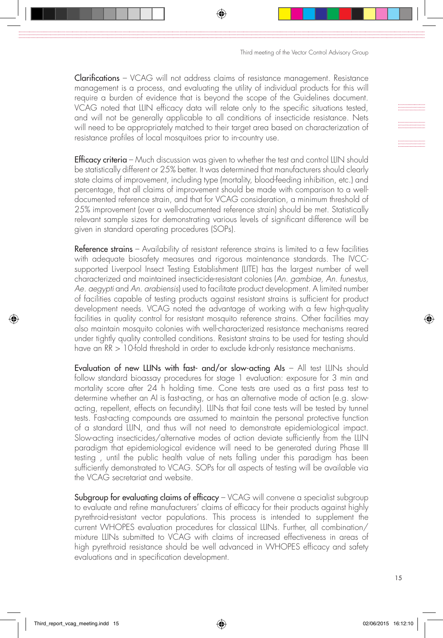Clarifications – VCAG will not address claims of resistance management. Resistance management is a process, and evaluating the utility of individual products for this will require a burden of evidence that is beyond the scope of the Guidelines document. VCAG noted that LLIN efficacy data will relate only to the specific situations tested, and will not be generally applicable to all conditions of insecticide resistance. Nets will need to be appropriately matched to their target area based on characterization of resistance profiles of local mosquitoes prior to in-country use.

**Efficacy criteria** – Much discussion was given to whether the test and control LLIN should be statistically different or 25% better. It was determined that manufacturers should clearly state claims of improvement, including type (mortality, blood-feeding inhibition, etc.) and percentage, that all claims of improvement should be made with comparison to a welldocumented reference strain, and that for VCAG consideration, a minimum threshold of 25% improvement (over a well-documented reference strain) should be met. Statistically relevant sample sizes for demonstrating various levels of significant difference will be given in standard operating procedures (SOPs).

Reference strains – Availability of resistant reference strains is limited to a few facilities with adequate biosafety measures and rigorous maintenance standards. The IVCCsupported Liverpool Insect Testing Establishment (LITE) has the largest number of well characterized and maintained insecticide-resistant colonies (*An. gambiae, An. funestus, Ae. aegypti* and *An. arabiensis*) used to facilitate product development. A limited number of facilities capable of testing products against resistant strains is sufficient for product development needs. VCAG noted the advantage of working with a few high-quality facilities in quality control for resistant mosquito reference strains. Other facilities may also maintain mosquito colonies with well-characterized resistance mechanisms reared under tightly quality controlled conditions. Resistant strains to be used for testing should have an RR > 10-fold threshold in order to exclude kdr-only resistance mechanisms.

Evaluation of new LLINs with fast- and/or slow-acting AIs – All test LLINs should follow standard bioassay procedures for stage 1 evaluation: exposure for 3 min and mortality score after 24 h holding time. Cone tests are used as a first pass test to determine whether an AI is fast-acting, or has an alternative mode of action (e.g. slowacting, repellent, effects on fecundity). LLINs that fail cone tests will be tested by tunnel tests. Fast-acting compounds are assumed to maintain the personal protective function of a standard LLIN, and thus will not need to demonstrate epidemiological impact. Slow-acting insecticides/alternative modes of action deviate sufficiently from the LLIN paradigm that epidemiological evidence will need to be generated during Phase III testing , until the public health value of nets falling under this paradigm has been sufficiently demonstrated to VCAG. SOPs for all aspects of testing will be available via the VCAG secretariat and website.

Subgroup for evaluating claims of efficacy – VCAG will convene a specialist subgroup to evaluate and refine manufacturers' claims of efficacy for their products against highly pyrethroid-resistant vector populations. This process is intended to supplement the current WHOPES evaluation procedures for classical LLINs. Further, all combination/ mixture LLINs submitted to VCAG with claims of increased effectiveness in areas of high pyrethroid resistance should be well advanced in WHOPES efficacy and safety evaluations and in specification development.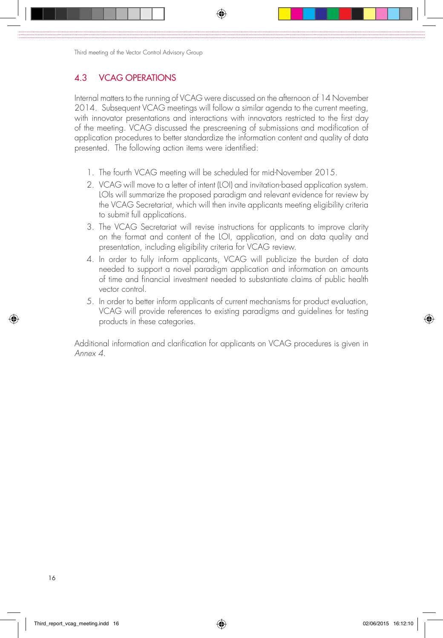# 4.3 VCAG OPERATIONS

Internal matters to the running of VCAG were discussed on the afternoon of 14 November 2014. Subsequent VCAG meetings will follow a similar agenda to the current meeting, with innovator presentations and interactions with innovators restricted to the first day of the meeting. VCAG discussed the prescreening of submissions and modification of application procedures to better standardize the information content and quality of data presented. The following action items were identified:

- 1. The fourth VCAG meeting will be scheduled for mid-November 2015.
- 2. VCAG will move to a letter of intent (LOI) and invitation-based application system. LOIs will summarize the proposed paradigm and relevant evidence for review by the VCAG Secretariat, which will then invite applicants meeting eligibility criteria to submit full applications.
- 3. The VCAG Secretariat will revise instructions for applicants to improve clarity on the format and content of the LOI, application, and on data quality and presentation, including eligibility criteria for VCAG review.
- 4. In order to fully inform applicants, VCAG will publicize the burden of data needed to support a novel paradigm application and information on amounts of time and financial investment needed to substantiate claims of public health vector control.
- 5. In order to better inform applicants of current mechanisms for product evaluation, VCAG will provide references to existing paradigms and guidelines for testing products in these categories.

Additional information and clarification for applicants on VCAG procedures is given in *Annex 4.*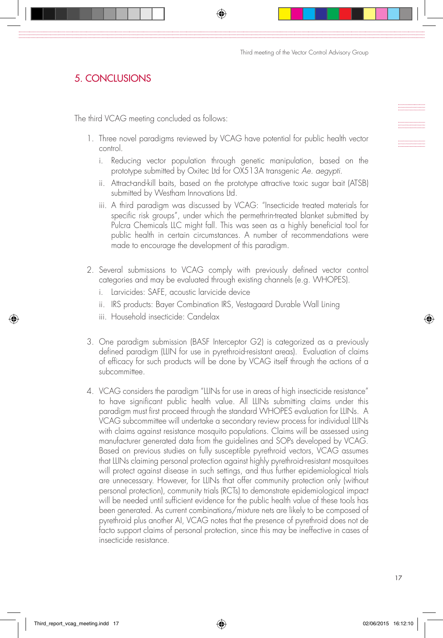# 5. CONCLUSIONS

The third VCAG meeting concluded as follows:

- 1. Three novel paradigms reviewed by VCAG have potential for public health vector control.
	- i. Reducing vector population through genetic manipulation, based on the prototype submitted by Oxitec Ltd for OX513A transgenic *Ae. aegypti*.
	- ii. Attract-and-kill baits, based on the prototype attractive toxic sugar bait (ATSB) submitted by Westham Innovations Ltd.
	- iii. A third paradigm was discussed by VCAG: "Insecticide treated materials for specific risk groups", under which the permethrin-treated blanket submitted by Pulcra Chemicals LLC might fall. This was seen as a highly beneficial tool for public health in certain circumstances. A number of recommendations were made to encourage the development of this paradigm.
- 2. Several submissions to VCAG comply with previously defined vector control categories and may be evaluated through existing channels (e.g. WHOPES).
	- i. Larvicides: SAFE, acoustic larvicide device
	- ii. IRS products: Bayer Combination IRS, Vestagaard Durable Wall Lining
	- iii. Household insecticide: Candelax
- 3. One paradigm submission (BASF Interceptor G2) is categorized as a previously defined paradigm (LLIN for use in pyrethroid-resistant areas). Evaluation of claims of efficacy for such products will be done by VCAG itself through the actions of a subcommittee.
- 4. VCAG considers the paradigm "LLINs for use in areas of high insecticide resistance" to have significant public health value. All LLINs submitting claims under this paradigm must first proceed through the standard WHOPES evaluation for LLINs. A VCAG subcommittee will undertake a secondary review process for individual LLINs with claims against resistance mosquito populations. Claims will be assessed using manufacturer generated data from the guidelines and SOPs developed by VCAG. Based on previous studies on fully susceptible pyrethroid vectors, VCAG assumes that LLINs claiming personal protection against highly pyrethroid-resistant mosquitoes will protect against disease in such settings, and thus further epidemiological trials are unnecessary. However, for LLINs that offer community protection only (without personal protection), community trials (RCTs) to demonstrate epidemiological impact will be needed until sufficient evidence for the public health value of these tools has been generated. As current combinations/mixture nets are likely to be composed of pyrethroid plus another AI, VCAG notes that the presence of pyrethroid does not de facto support claims of personal protection, since this may be ineffective in cases of insecticide resistance.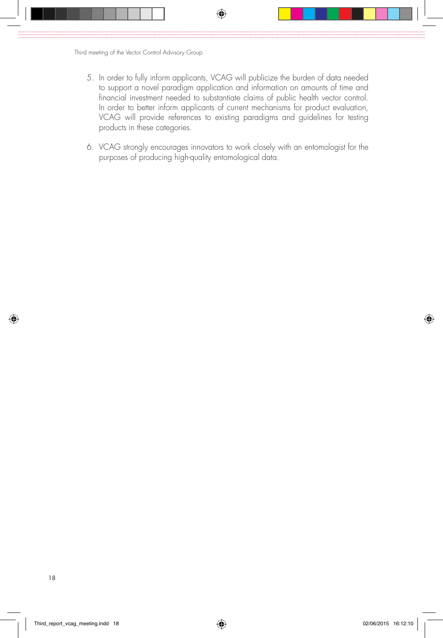- 5. In order to fully inform applicants, VCAG will publicize the burden of data needed to support a novel paradigm application and information on amounts of time and financial investment needed to substantiate claims of public health vector control. In order to better inform applicants of current mechanisms for product evaluation, VCAG will provide references to existing paradigms and guidelines for testing products in these categories.
- 6. VCAG strongly encourages innovators to work closely with an entomologist for the purposes of producing high-quality entomological data.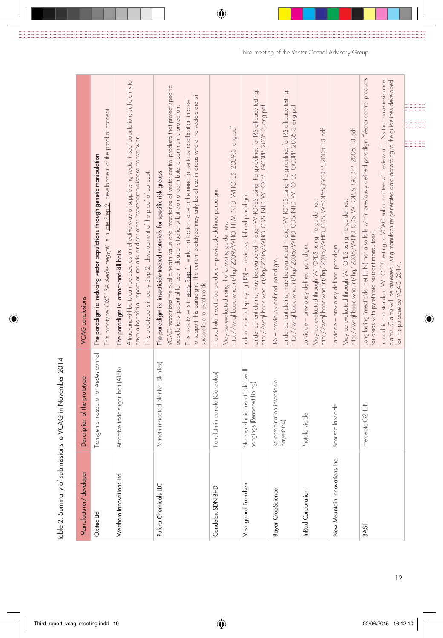| $\overline{\phantom{a}}$<br>١ |
|-------------------------------|
|                               |
|                               |
| ;<br>;                        |
| Ş                             |
|                               |
| ֦ׅ֚֚֚֚֚֚֚֚֡֡֡֡֝֡              |
|                               |
|                               |
| $\vdots$<br>ı                 |

 $\frac{1}{1}$ 

| Manufacturer/ developer       | Description of the prototype                                   | <b>VCAG</b> conclusions                                                                                                                                                                                                                                                                                                                                                                                                                                                                                                                           |
|-------------------------------|----------------------------------------------------------------|---------------------------------------------------------------------------------------------------------------------------------------------------------------------------------------------------------------------------------------------------------------------------------------------------------------------------------------------------------------------------------------------------------------------------------------------------------------------------------------------------------------------------------------------------|
| Oxitec Ltd                    | Transgenic mosquito for Aedes control                          | This prototype (OX513A Aedes aegypti) is in late Step 2, development of the proof of concept.<br>The paradigm is: reducing vector populations through genetic manipulation                                                                                                                                                                                                                                                                                                                                                                        |
| Westham Innovations Ltd       | Attractive toxic sugar bait (ATSB)                             | Attract-and-kill baits can be used as an effective way of suppressing vector insect populations sufficiently to<br>have a beneficial impact on malaria and/or other insect-borne disease transmission.<br>This prototype is in early Step 2, development of the proof of concept.<br>The paradigm is: attract-and-kill baits                                                                                                                                                                                                                      |
| Pulcra Chemicals LLC          | Permethrin-treated blanket (SkinTex)                           | VCAG recognizes the public health value and importance of vector control products that protect specific<br>to support this paradigm. The current prototype may only be of use in areas where the vectors are still<br>This prototype is in early Step 1, early notification, due to the need for serious modification in order<br>populations (potential for use in disaster situations) but do not contribute to community protection.<br>The paradigm is: insecticide-treated materials for specific risk groups<br>susceptible to pyrethroids. |
| Candelax SDN BHD              | Transfluthrin candle (Candelax)                                | http://whqlibdoc.who.int/hq/2009/WHO_HTM_NTD_WHOPES_2009.3_eng.pdf<br>Household insecticide products - previously defined paradigm.<br>May be evaluated using the following guidelines:                                                                                                                                                                                                                                                                                                                                                           |
| Vestagaard Frandsen           | Non-pyrethroid insecticidal wall<br>hangings (Permanet Lining) | Under current claims, may be evaluated through VVHOPES using the guidelines for IRS efficacy testing:<br>http://whqlibdoc.who.int/hq/2006/WHO_CDS_NTD_WHOPES_GCDPP_2006.3_eng.pdf<br>Indoor residual spraying (IRS) - previously defined paradigm                                                                                                                                                                                                                                                                                                 |
| Bayer CropScience             | RS combination insecticide<br>Bayer664)                        | Under current claims, may be evaluated through WHOPES using the guidelines for IRS efficacy testing:<br>http://whqlibdoc.who.int/hq/2006/WHO_CDS_NTD_WHOPES_GCDPP_2006.3_eng.pdf<br>IRS - previously defined paradigm.                                                                                                                                                                                                                                                                                                                            |
| InRad Corporation             | Photolarvicide                                                 | http://whqlibdoc.who.int/hq/2005/VVHO_CDS_WHOPES_GCDPP_2005.13.pdf<br>May be evaluated through WHOPES using the guidelines:<br>Larvicide – previously defined paradigm                                                                                                                                                                                                                                                                                                                                                                            |
| New Mountain Innovations Inc. | Acoustic larvicide                                             | http://whalibdoc.who.int/hq/2005/WHO_CDS_WHOPES_GCDPP_2005.13.pdf<br>May be evaluated through VVHOPES using the guidelines:<br>arvicide - previously defined paradigm.                                                                                                                                                                                                                                                                                                                                                                            |
| BASF                          | InterceptorG2 LLIN                                             | Long-lasting insecticidal net (LLIN) that also falls within previously defined paradigm "Vector control products<br>In addition to standard WHOPES testing, a VCAG subcommittee will review all LLINs that make resistance<br>claims. Claims will be assessed using manufacturergenerated data according to the guidelines developed<br>for areas with pyrethroid resistant mosquitoes"<br>for this purpose by VCAG 2014.                                                                                                                         |
|                               |                                                                |                                                                                                                                                                                                                                                                                                                                                                                                                                                                                                                                                   |

m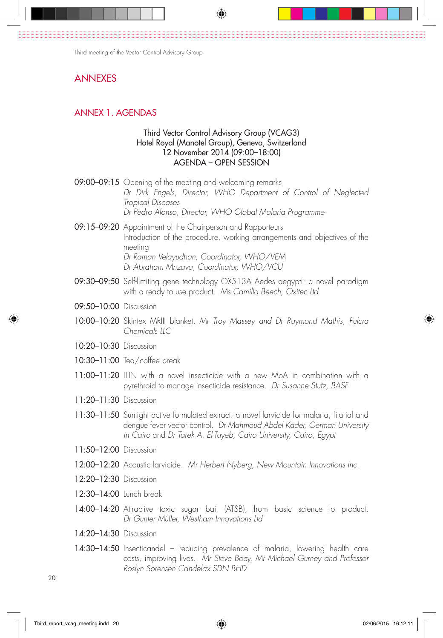# **ANNEXES**

# Annex 1. AgendaS

#### Third Vector Control Advisory Group (VCAG3) Hotel Royal (Manotel Group), Geneva, Switzerland 12 November 2014 (09:00–18:00) AGENDA – OPEN SESSION

| 09:00-09:15 Opening of the meeting and welcoming remarks         |
|------------------------------------------------------------------|
| Dr Dirk Engels, Director, WHO Department of Control of Neglected |
| Tropical Diseases                                                |
| Dr Pedro Alonso, Director, WHO Global Malaria Programme          |

- 09:15–09:20 Appointment of the Chairperson and Rapporteurs Introduction of the procedure, working arrangements and objectives of the meeting *Dr Raman Velayudhan, Coordinator, WHO/VEM Dr Abraham Mnzava, Coordinator, WHO/VCU*
- 09:30–09:50 Self-limiting gene technology OX513A Aedes aegypti: a novel paradigm with a ready to use product. *Ms Camilla Beech, Oxitec Ltd*
- 09:50–10:00 Discussion
- 10:00–10:20 Skintex MRIII blanket. *Mr Troy Massey and Dr Raymond Mathis, Pulcra Chemicals LLC*
- 10:20–10:30 Discussion
- 10:30–11:00 Tea/coffee break
- 11:00–11:20 LLIN with a novel insecticide with a new MoA in combination with a pyrethroid to manage insecticide resistance. *Dr Susanne Stutz, BASF*
- 11:20–11:30 Discussion
- 11:30–11:50 Sunlight active formulated extract: a novel larvicide for malaria, filarial and dengue fever vector control. *Dr Mahmoud Abdel Kader, German University in Cairo* and *Dr Tarek A. El-Tayeb, Cairo University, Cairo, Egypt*
- 11:50–12:00 Discussion
- 12:00–12:20 Acoustic larvicide. *Mr Herbert Nyberg, New Mountain Innovations Inc.*
- 12:20–12:30 Discussion
- 12:30–14:00 Lunch break
- 14:00–14:20 Attractive toxic sugar bait (ATSB), from basic science to product. *Dr Gunter Müller, Westham Innovations Ltd*
- 14:20–14:30 Discussion
- 14:30–14:50 Insecticandel reducing prevalence of malaria, lowering health care costs, improving lives. *Mr Steve Boey, Mr Michael Gurney and Professor Roslyn Sorensen Candelax SDN BHD*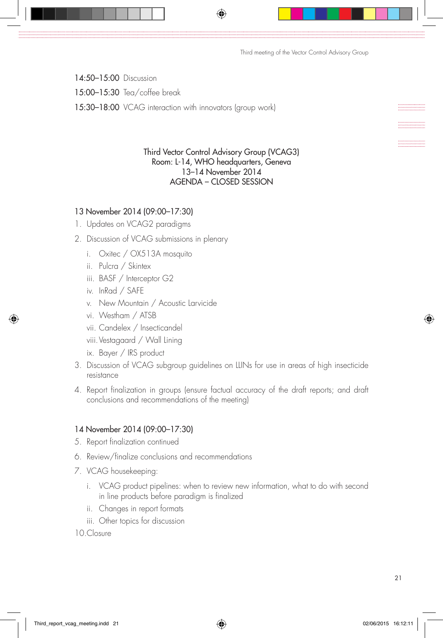Third meeting of the Vector Control Advisory Group

- 14:50–15:00 Discussion
- 15:00–15:30 Tea/coffee break
- 15:30–18:00 VCAG interaction with innovators (group work)

#### Third Vector Control Advisory Group (VCAG3) Room: L-14, WHO headquarters, Geneva 13–14 November 2014 AGENDA – CLOSED SESSION

# 13 November 2014 (09:00–17:30)

- 1. Updates on VCAG2 paradigms
- 2. Discussion of VCAG submissions in plenary
	- i. Oxitec / OX513A mosquito
	- ii. Pulcra / Skintex
	- iii. BASF / Interceptor G2
	- iv. InRad / SAFE
	- v. New Mountain / Acoustic Larvicide
	- vi. Westham / ATSB
	- vii. Candelex / Insecticandel
	- viii.Vestagaard / Wall Lining
	- ix. Bayer / IRS product
- 3. Discussion of VCAG subgroup guidelines on LLINs for use in areas of high insecticide resistance
- 4. Report finalization in groups (ensure factual accuracy of the draft reports; and draft conclusions and recommendations of the meeting)

# 14 November 2014 (09:00–17:30)

- 5. Report finalization continued
- 6. Review/finalize conclusions and recommendations
- 7. VCAG housekeeping:
	- i. VCAG product pipelines: when to review new information, what to do with second in line products before paradigm is finalized
	- ii. Changes in report formats
	- iii. Other topics for discussion

10.Closure

 $\frac{1}{2}$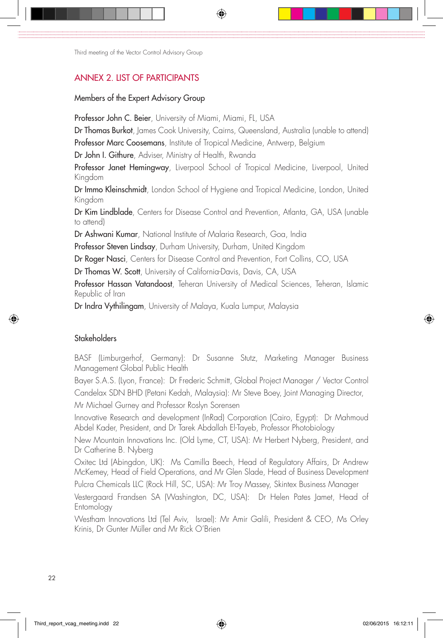# Annex 2. List of participants

# Members of the Expert Advisory Group

Professor John C. Beier, University of Miami, Miami, FL, USA Dr Thomas Burkot, James Cook University, Cairns, Queensland, Australia (unable to attend) Professor Marc Coosemans, Institute of Tropical Medicine, Antwerp, Belgium Dr John I. Githure, Adviser, Ministry of Health, Rwanda Professor Janet Hemingway, Liverpool School of Tropical Medicine, Liverpool, United Kingdom Dr Immo Kleinschmidt, London School of Hygiene and Tropical Medicine, London, United Kingdom Dr Kim Lindblade, Centers for Disease Control and Prevention, Atlanta, GA, USA (unable to attend) Dr Ashwani Kumar, National Institute of Malaria Research, Goa, India Professor Steven Lindsay, Durham University, Durham, United Kingdom Dr Roger Nasci, Centers for Disease Control and Prevention, Fort Collins, CO, USA

Dr Thomas W. Scott, University of California-Davis, Davis, CA, USA

Professor Hassan Vatandoost, Teheran University of Medical Sciences, Teheran, Islamic Republic of Iran

Dr Indra Vythilingam, University of Malaya, Kuala Lumpur, Malaysia

# **Stakeholders**

BASF (Limburgerhof, Germany): Dr Susanne Stutz, Marketing Manager Business Management Global Public Health

Bayer S.A.S. (Lyon, France): Dr Frederic Schmitt, Global Project Manager / Vector Control Candelax SDN BHD (Petani Kedah, Malaysia): Mr Steve Boey, Joint Managing Director,

Mr Michael Gurney and Professor Roslyn Sorensen

Innovative Research and development (InRad) Corporation (Cairo, Egypt): Dr Mahmoud Abdel Kader, President, and Dr Tarek Abdallah El-Tayeb, Professor Photobiology

New Mountain Innovations Inc. (Old Lyme, CT, USA): Mr Herbert Nyberg, President, and Dr Catherine B. Nyberg

Oxitec Ltd (Abingdon, UK): Ms Camilla Beech, Head of Regulatory Affairs, Dr Andrew McKemey, Head of Field Operations, and Mr Glen Slade, Head of Business Development

Pulcra Chemicals LLC (Rock Hill, SC, USA): Mr Troy Massey, Skintex Business Manager

Vestergaard Frandsen SA (Washington, DC, USA): Dr Helen Pates Jamet, Head of Entomology

Westham Innovations Ltd (Tel Aviv, Israel): Mr Amir Galili, President & CEO, Ms Orley Krinis, Dr Gunter Müller and Mr Rick O'Brien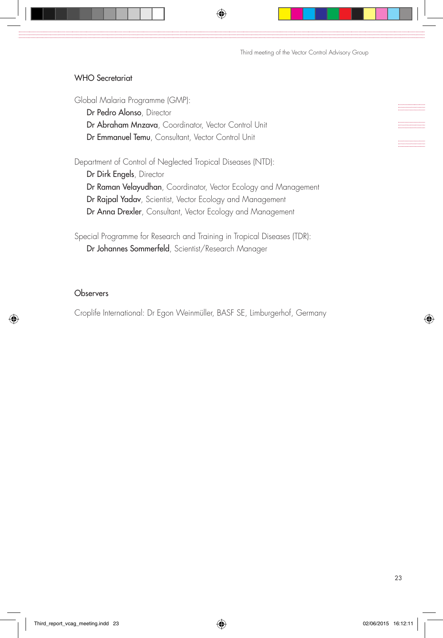#### WHO Secretariat

Global Malaria Programme (GMP):

Dr Pedro Alonso, Director Dr Abraham Mnzava, Coordinator, Vector Control Unit Dr Emmanuel Temu, Consultant, Vector Control Unit

Department of Control of Neglected Tropical Diseases (NTD): Dr Dirk Engels, Director Dr Raman Velayudhan, Coordinator, Vector Ecology and Management Dr Rajpal Yadav, Scientist, Vector Ecology and Management

Dr Anna Drexler, Consultant, Vector Ecology and Management

Special Programme for Research and Training in Tropical Diseases (TDR): Dr Johannes Sommerfeld, Scientist/Research Manager

#### **Observers**

Croplife International: Dr Egon Weinmüller, BASF SE, Limburgerhof, Germany

======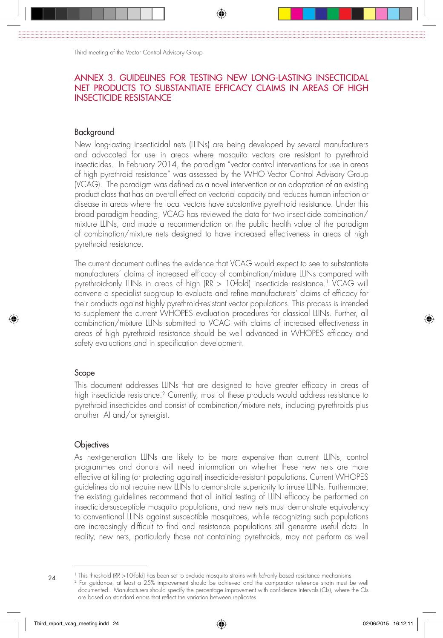#### Annex 3. Guidelines for testing new long-lasting insecticidal net products to substantiate efficacy claims in areas of high insecticide resistance

#### Background

New long-lasting insecticidal nets (LLINs) are being developed by several manufacturers and advocated for use in areas where mosquito vectors are resistant to pyrethroid insecticides. In February 2014, the paradigm "vector control interventions for use in areas of high pyrethroid resistance" was assessed by the WHO Vector Control Advisory Group (VCAG). The paradigm was defined as a novel intervention or an adaptation of an existing product class that has an overall effect on vectorial capacity and reduces human infection or disease in areas where the local vectors have substantive pyrethroid resistance. Under this broad paradigm heading, VCAG has reviewed the data for two insecticide combination/ mixture LLINs, and made a recommendation on the public health value of the paradigm of combination/mixture nets designed to have increased effectiveness in areas of high pyrethroid resistance.

The current document outlines the evidence that VCAG would expect to see to substantiate manufacturers' claims of increased efficacy of combination/mixture LLINs compared with pyrethroid-only LLINs in areas of high  $\text{RR} > 10\text{-fold}$  insecticide resistance.<sup>1</sup> VCAG will convene a specialist subgroup to evaluate and refine manufacturers' claims of efficacy for their products against highly pyrethroid-resistant vector populations. This process is intended to supplement the current WHOPES evaluation procedures for classical LLINs. Further, all combination/mixture LLINs submitted to VCAG with claims of increased effectiveness in areas of high pyrethroid resistance should be well advanced in WHOPES efficacy and safety evaluations and in specification development.

#### Scope

This document addresses LLINs that are designed to have greater efficacy in areas of high insecticide resistance.<sup>2</sup> Currently, most of these products would address resistance to pyrethroid insecticides and consist of combination/mixture nets, including pyrethroids plus another AI and/or synergist.

#### **Objectives**

As next-generation LLINs are likely to be more expensive than current LLINs, control programmes and donors will need information on whether these new nets are more effective at killing (or protecting against) insecticide-resistant populations. Current WHOPES guidelines do not require new LLINs to demonstrate superiority to in-use LLINs. Furthermore, the existing guidelines recommend that all initial testing of LLIN efficacy be performed on insecticide-susceptible mosquito populations, and new nets must demonstrate equivalency to conventional LLINs against susceptible mosquitoes, while recognizing such populations are increasingly difficult to find and resistance populations still generate useful data. In reality, new nets, particularly those not containing pyrethroids, may not perform as well

<sup>24</sup>

<sup>&</sup>lt;sup>1</sup> This threshold (RR >10-fold) has been set to exclude mosquito strains with *kdr*-only based resistance mechanisms.

<sup>2</sup> For guidance, at least a 25% improvement should be achieved and the comparator reference strain must be well documented. Manufacturers should specify the percentage improvement with confidence intervals (CIs), where the CIs are based on standard errors that reflect the variation between replicates.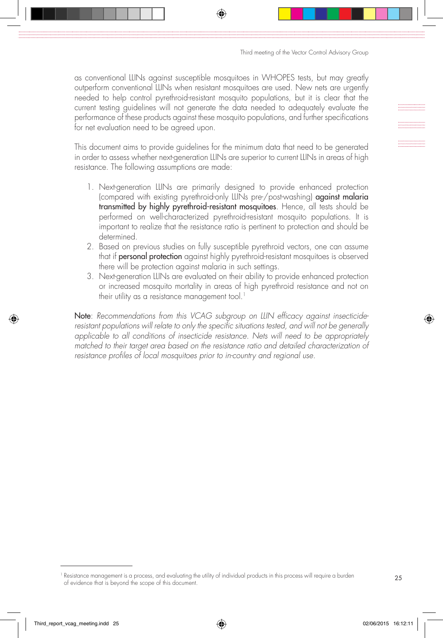as conventional LLINs against susceptible mosquitoes in WHOPES tests, but may greatly outperform conventional LLINs when resistant mosquitoes are used. New nets are urgently needed to help control pyrethroid-resistant mosquito populations, but it is clear that the current testing guidelines will not generate the data needed to adequately evaluate the performance of these products against these mosquito populations, and further specifications for net evaluation need to be agreed upon.

This document aims to provide guidelines for the minimum data that need to be generated in order to assess whether next-generation LLINs are superior to current LLINs in areas of high resistance. The following assumptions are made:

- 1. Next-generation LLINs are primarily designed to provide enhanced protection (compared with existing pyrethroid-only LLINs pre-/post-washing) against malaria transmitted by highly pyrethroid-resistant mosquitoes. Hence, all tests should be performed on well-characterized pyrethroid-resistant mosquito populations. It is important to realize that the resistance ratio is pertinent to protection and should be determined.
- 2. Based on previous studies on fully susceptible pyrethroid vectors, one can assume that if personal protection against highly pyrethroid-resistant mosquitoes is observed there will be protection against malaria in such settings.
- 3. Next-generation LLINs are evaluated on their ability to provide enhanced protection or increased mosquito mortality in areas of high pyrethroid resistance and not on their utility as a resistance management tool.<sup>1</sup>

Note: *Recommendations from this VCAG subgroup on LLIN efficacy against insecticide*resistant populations will relate to only the specific situations tested, and will not be generally *applicable to all conditions of insecticide resistance. Nets will need to be appropriately matched to their target area based on the resistance ratio and detailed characterization of resistance profiles of local mosquitoes prior to in-country and regional use.*

<sup>&</sup>lt;sup>1</sup> Resistance management is a process, and evaluating the utility of individual products in this process will require a burden of evidence that is beyond the scope of this document.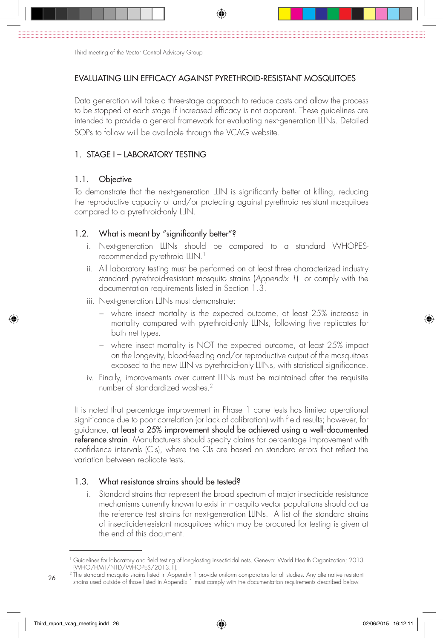# Evaluating LLIN efficacy against pyrethroid-resistant mosquitoes

Data generation will take a three-stage approach to reduce costs and allow the process to be stopped at each stage if increased efficacy is not apparent. These guidelines are intended to provide a general framework for evaluating next-generation LLINs. Detailed SOPs to follow will be available through the VCAG website.

# 1. Stage I – Laboratory testing

# 1.1. Objective

To demonstrate that the next-generation LLIN is significantly better at killing, reducing the reproductive capacity of and/or protecting against pyrethroid resistant mosquitoes compared to a pyrethroid-only LLIN.

# 1.2. What is meant by "significantly better"?

- i. Next-generation LLINs should be compared to a standard WHOPESrecommended pyrethroid LLIN.<sup>1</sup>
- ii. All laboratory testing must be performed on at least three characterized industry standard pyrethroid-resistant mosquito strains (*Appendix 1*) or comply with the documentation requirements listed in Section 1.3.
- iii. Next-generation LLINs must demonstrate:
	- − where insect mortality is the expected outcome, at least 25% increase in mortality compared with pyrethroid-only LLINs, following five replicates for both net types.
	- − where insect mortality is NOT the expected outcome, at least 25% impact on the longevity, blood-feeding and/or reproductive output of the mosquitoes exposed to the new LLIN vs pyrethroid-only LLINs, with statistical significance.
- iv. Finally, improvements over current LLINs must be maintained after the requisite number of standardized washes.2

It is noted that percentage improvement in Phase 1 cone tests has limited operational significance due to poor correlation (or lack of calibration) with field results; however, for guidance, at least a 25% improvement should be achieved using a well-documented reference strain. Manufacturers should specify claims for percentage improvement with confidence intervals (CIs), where the CIs are based on standard errors that reflect the variation between replicate tests.

# 1.3. What resistance strains should be tested?

i. Standard strains that represent the broad spectrum of major insecticide resistance mechanisms currently known to exist in mosquito vector populations should act as the reference test strains for next-generation LLINs. A list of the standard strains of insecticide-resistant mosquitoes which may be procured for testing is given at the end of this document.

<sup>1</sup> Guidelines for laboratory and field testing of long-lasting insecticidal nets. Geneva: World Health Organization; 2013 (WHO/HMT/NTD/WHOPES/2013.1).

<sup>2</sup> The standard mosquito strains listed in Appendix 1 provide uniform comparators for all studies. Any alternative resistant strains used outside of those listed in Appendix 1 must comply with the documentation requirements described below.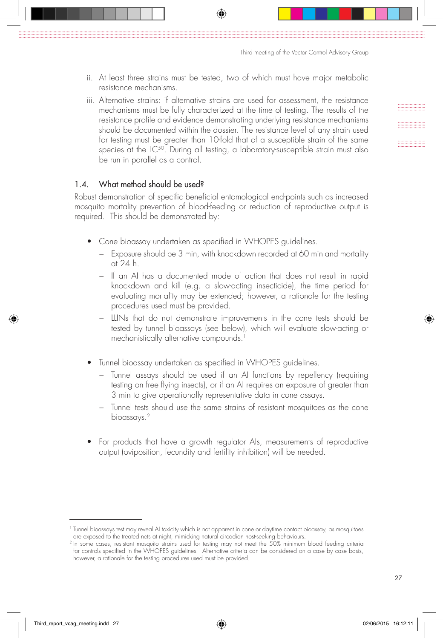- ii. At least three strains must be tested, two of which must have major metabolic resistance mechanisms.
- iii. Alternative strains: if alternative strains are used for assessment, the resistance mechanisms must be fully characterized at the time of testing. The results of the resistance profile and evidence demonstrating underlying resistance mechanisms should be documented within the dossier. The resistance level of any strain used for testing must be greater than 10-fold that of a susceptible strain of the same species at the LC<sup>50</sup>. During all testing, a laboratory-susceptible strain must also be run in parallel as a control.

### 1.4. What method should be used?

Robust demonstration of specific beneficial entomological end-points such as increased mosquito mortality prevention of blood-feeding or reduction of reproductive output is required. This should be demonstrated by:

- Cone bioassay undertaken as specified in WHOPES quidelines.
	- − Exposure should be 3 min, with knockdown recorded at 60 min and mortality at 24 h.
	- − If an AI has a documented mode of action that does not result in rapid knockdown and kill (e.g. a slow-acting insecticide), the time period for evaluating mortality may be extended; however, a rationale for the testing procedures used must be provided.
	- − LLINs that do not demonstrate improvements in the cone tests should be tested by tunnel bioassays (see below), which will evaluate slow-acting or mechanistically alternative compounds.<sup>1</sup>
- Tunnel bioassay undertaken as specified in WHOPES guidelines.
	- − Tunnel assays should be used if an AI functions by repellency (requiring testing on free flying insects), or if an AI requires an exposure of greater than 3 min to give operationally representative data in cone assays.
	- − Tunnel tests should use the same strains of resistant mosquitoes as the cone bioassays.2
- For products that have a growth regulator AIs, measurements of reproductive output (oviposition, fecundity and fertility inhibition) will be needed.

<sup>1</sup> Tunnel bioassays test may reveal AI toxicity which is not apparent in cone or daytime contact bioassay, as mosquitoes are exposed to the treated nets at night, mimicking natural circadian host-seeking behaviours.

<sup>2</sup> In some cases, resistant mosquito strains used for testing may not meet the 50% minimum blood feeding criteria for controls specified in the WHOPES guidelines. Alternative criteria can be considered on a case by case basis, however, a rationale for the testing procedures used must be provided.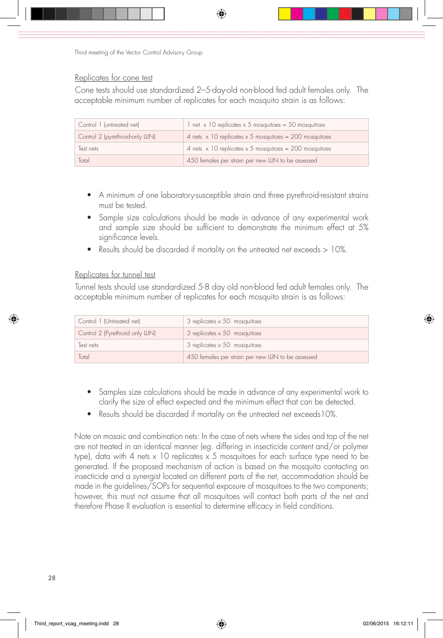Third meeting of the Vector Control Advisory Group

#### Replicates for cone test

Cone tests should use standardized 2–5-day-old non-blood fed adult females only. The acceptable minimum number of replicates for each mosquito strain is as follows:

| Control 1 (untreated net)        | 1 net $\times$ 10 replicates $\times$ 5 mosquitoes = 50 mosquitoes   |
|----------------------------------|----------------------------------------------------------------------|
| Control 2 (pyrethroid-only LLIN) | 4 nets $\times$ 10 replicates $\times$ 5 mosquitoes = 200 mosquitoes |
| Test nets                        | 4 nets $\times$ 10 replicates $\times$ 5 mosquitoes = 200 mosquitoes |
| Total                            | 450 females per strain per new LLIN to be assessed                   |

- A minimum of one laboratory-susceptible strain and three pyrethroid-resistant strains must be tested.
- Sample size calculations should be made in advance of any experimental work and sample size should be sufficient to demonstrate the minimum effect at 5% significance levels.
- Results should be discarded if mortality on the untreated net exceeds > 10%.

### Replicates for tunnel test

Tunnel tests should use standardized 5-8 day old non-blood fed adult females only. The acceptable minimum number of replicates for each mosquito strain is as follows:

| Control 1 (Untreated net)        | 3 replicates x 50 mosquitoes                       |
|----------------------------------|----------------------------------------------------|
| Control 2 (Pyrethroid only LLIN) | 3 replicates x 50 mosquitoes                       |
| Test nets                        | 3 replicates x 50 mosquitoes                       |
| Total                            | 450 females per strain per new LLIN to be assessed |

- Samples size calculations should be made in advance of any experimental work to clarify the size of effect expected and the minimum effect that can be detected.
- Results should be discarded if mortality on the untreated net exceeds 10%.

Note on mosaic and combination nets: In the case of nets where the sides and top of the net are not treated in an identical manner (eg. differing in insecticide content and/or polymer type), data with 4 nets  $\times$  10 replicates  $\times$  5 mosquitoes for each surface type need to be generated. If the proposed mechanism of action is based on the mosquito contacting an insecticide and a synergist located on different parts of the net, accommodation should be made in the guidelines/SOPs for sequential exposure of mosquitoes to the two components; however, this must not assume that all mosquitoes will contact both parts of the net and therefore Phase II evaluation is essential to determine efficacy in field conditions.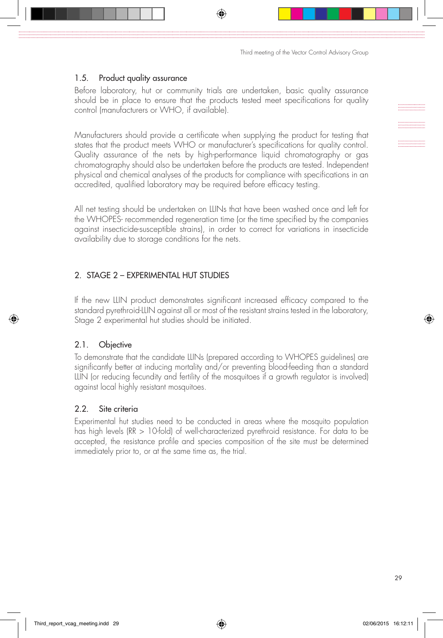# 1.5. Product quality assurance

Before laboratory, hut or community trials are undertaken, basic quality assurance should be in place to ensure that the products tested meet specifications for quality control (manufacturers or WHO, if available).

Manufacturers should provide a certificate when supplying the product for testing that states that the product meets WHO or manufacturer's specifications for quality control. Quality assurance of the nets by high-performance liquid chromatography or gas chromatography should also be undertaken before the products are tested. Independent physical and chemical analyses of the products for compliance with specifications in an accredited, qualified laboratory may be required before efficacy testing.

All net testing should be undertaken on LLINs that have been washed once and left for the WHOPES- recommended regeneration time (or the time specified by the companies against insecticide-susceptible strains), in order to correct for variations in insecticide availability due to storage conditions for the nets.

# 2. Stage 2 – Experimental hut studies

If the new LLIN product demonstrates significant increased efficacy compared to the standard pyrethroid-LLIN against all or most of the resistant strains tested in the laboratory, Stage 2 experimental hut studies should be initiated.

# 2.1. Objective

To demonstrate that the candidate LLINs (prepared according to WHOPES guidelines) are significantly better at inducing mortality and/or preventing blood-feeding than a standard LLIN (or reducing fecundity and fertility of the mosquitoes if a growth regulator is involved) against local highly resistant mosquitoes.

# 2.2. Site criteria

Experimental hut studies need to be conducted in areas where the mosquito population has high levels (RR > 10-fold) of well-characterized pyrethroid resistance. For data to be accepted, the resistance profile and species composition of the site must be determined immediately prior to, or at the same time as, the trial.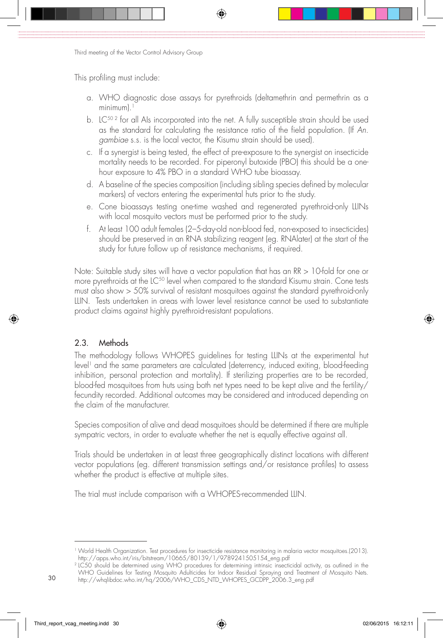Third meeting of the Vector Control Advisory Group

This profiling must include:

- a. WHO diagnostic dose assays for pyrethroids (deltamethrin and permethrin as a  $minimum$ <sup>1</sup>
- b. LC<sup>50 2</sup> for all Als incorporated into the net. A fully susceptible strain should be used as the standard for calculating the resistance ratio of the field population. (If *An. gambiae* s.s. is the local vector, the Kisumu strain should be used).
- c. If a synergist is being tested, the effect of pre-exposure to the synergist on insecticide mortality needs to be recorded. For piperonyl butoxide (PBO) this should be a onehour exposure to 4% PBO in a standard WHO tube bioassay.
- d. A baseline of the species composition (including sibling species defined by molecular markers) of vectors entering the experimental huts prior to the study.
- e. Cone bioassays testing one-time washed and regenerated pyrethroid-only LLINs with local mosquito vectors must be performed prior to the study.
- f. At least 100 adult females (2–5-day-old non-blood fed, non-exposed to insecticides) should be preserved in an RNA stabilizing reagent (eg. RNAlater) at the start of the study for future follow up of resistance mechanisms, if required.

Note: Suitable study sites will have a vector population that has an RR > 10-fold for one or more pyrethroids at the LC<sup>50</sup> level when compared to the standard Kisumu strain. Cone tests must also show > 50% survival of resistant mosquitoes against the standard pyrethroid-only LLIN. Tests undertaken in areas with lower level resistance cannot be used to substantiate product claims against highly pyrethroid-resistant populations.

# 2.3. Methods

The methodology follows WHOPES guidelines for testing LLINs at the experimental hut level1 and the same parameters are calculated (deterrency, induced exiting, blood-feeding inhibition, personal protection and mortality). If sterilizing properties are to be recorded, blood-fed mosquitoes from huts using both net types need to be kept alive and the fertility/ fecundity recorded. Additional outcomes may be considered and introduced depending on the claim of the manufacturer.

Species composition of alive and dead mosquitoes should be determined if there are multiple sympatric vectors, in order to evaluate whether the net is equally effective against all.

Trials should be undertaken in at least three geographically distinct locations with different vector populations (eg. different transmission settings and/or resistance profiles) to assess whether the product is effective at multiple sites.

The trial must include comparison with a WHOPES-recommended LLIN.

<sup>1</sup> World Health Organization. Test procedures for insecticide resistance monitoring in malaria vector mosquitoes.(2013). http://apps.who.int/iris/bitstream/10665/80139/1/9789241505154\_eng.pdf

<sup>2</sup> LC50 should be determined using WHO procedures for determining intrinsic insecticidal activity, as outlined in the WHO Guidelines for Testing Mosquito Adulticides for Indoor Residual Spraying and Treatment of Mosquito Nets. http://whqlibdoc.who.int/hq/2006/WHO\_CDS\_NTD\_WHOPES\_GCDPP\_2006.3\_eng.pdf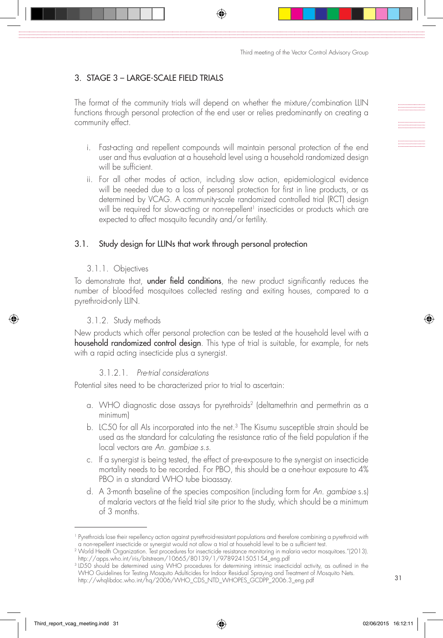# 3. Stage 3 – Large-scale field trials

The format of the community trials will depend on whether the mixture/combination LLIN functions through personal protection of the end user or relies predominantly on creating a community effect.

- i. Fast-acting and repellent compounds will maintain personal protection of the end user and thus evaluation at a household level using a household randomized design will be sufficient.
- ii. For all other modes of action, including slow action, epidemiological evidence will be needed due to a loss of personal protection for first in line products, or as determined by VCAG. A community-scale randomized controlled trial (RCT) design will be required for slow-acting or non-repellent<sup>1</sup> insecticides or products which are expected to affect mosquito fecundity and/or fertility.

# 3.1. Study design for LLINs that work through personal protection

#### 3.1.1. Objectives

To demonstrate that, under field conditions, the new product significantly reduces the number of blood-fed mosquitoes collected resting and exiting houses, compared to a pyrethroid-only LLIN.

#### 3.1.2. Study methods

New products which offer personal protection can be tested at the household level with a household randomized control design. This type of trial is suitable, for example, for nets with a rapid acting insecticide plus a synergist.

#### 3.1.2.1. *Pre-trial considerations*

Potential sites need to be characterized prior to trial to ascertain:

- a. WHO diagnostic dose assays for pyrethroids<sup>2</sup> (deltamethrin and permethrin as a minimum)
- b. LC50 for all Als incorporated into the net.<sup>3</sup> The Kisumu susceptible strain should be used as the standard for calculating the resistance ratio of the field population if the local vectors are *An. gambiae s.s*.
- c. If a synergist is being tested, the effect of pre-exposure to the synergist on insecticide mortality needs to be recorded. For PBO, this should be a one-hour exposure to 4% PBO in a standard WHO tube bioassay.
- d. A 3-month baseline of the species composition (including form for *An. gambiae* s.s) of malaria vectors at the field trial site prior to the study, which should be a minimum of 3 months.

<sup>&</sup>lt;sup>1</sup> Pyrethroids lose their repellency action against pyrethroid-resistant populations and therefore combining a pyrethroid with a non-repellent insecticide or synergist would not allow a trial at household level to be a sufficient test.

<sup>2</sup> World Health Organization. Test procedures for insecticide resistance monitoring in malaria vector mosquitoes."(2013). http://apps.who.int/iris/bitstream/10665/80139/1/9789241505154\_eng.pdf

<sup>3</sup> LD50 should be determined using WHO procedures for determining intrinsic insecticidal activity, as outlined in the WHO Guidelines for Testing Mosquito Adulticides for Indoor Residual Spraying and Treatment of Mosquito Nets. http://whqlibdoc.who.int/hq/2006/WHO\_CDS\_NTD\_WHOPES\_GCDPP\_2006.3\_eng.pdf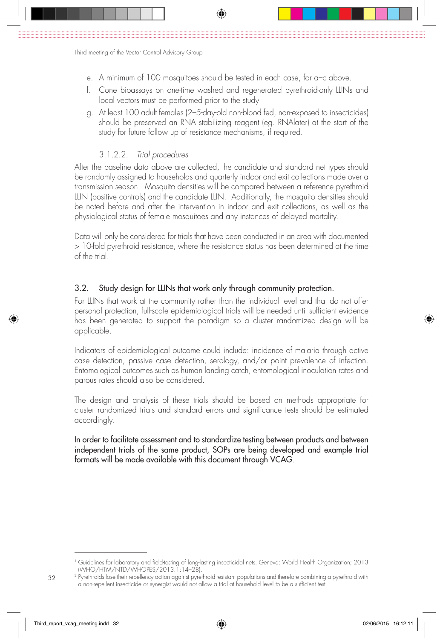- e. A minimum of 100 mosquitoes should be tested in each case, for a–c above.
- f. Cone bioassays on one-time washed and regenerated pyrethroid-only LLINs and local vectors must be performed prior to the study
- g. At least 100 adult females (2–5-day-old non-blood fed, non-exposed to insecticides) should be preserved an RNA stabilizing reagent (eg. RNAlater) at the start of the study for future follow up of resistance mechanisms, if required.

# 3.1.2.2. *Trial procedures*

After the baseline data above are collected, the candidate and standard net types should be randomly assigned to households and quarterly indoor and exit collections made over a transmission season. Mosquito densities will be compared between a reference pyrethroid LLIN (positive controls) and the candidate LLIN. Additionally, the mosquito densities should be noted before and after the intervention in indoor and exit collections, as well as the physiological status of female mosquitoes and any instances of delayed mortality.

Data will only be considered for trials that have been conducted in an area with documented > 10-fold pyrethroid resistance, where the resistance status has been determined at the time of the trial.

# 3.2. Study design for LLINs that work only through community protection.

For LLINs that work at the community rather than the individual level and that do not offer personal protection, full-scale epidemiological trials will be needed until sufficient evidence has been generated to support the paradigm so a cluster randomized design will be applicable.

Indicators of epidemiological outcome could include: incidence of malaria through active case detection, passive case detection, serology, and/or point prevalence of infection. Entomological outcomes such as human landing catch, entomological inoculation rates and parous rates should also be considered.

The design and analysis of these trials should be based on methods appropriate for cluster randomized trials and standard errors and significance tests should be estimated accordingly.

In order to facilitate assessment and to standardize testing between products and between independent trials of the same product, SOPs are being developed and example trial formats will be made available with this document through VCAG.

<sup>1</sup> Guidelines for laboratory and field-testing of long-lasting insecticidal nets. Geneva: World Health Organization; 2013 (WHO/HTM/NTD/WHOPES/2013.1:14–28).

<sup>2</sup> Pyrethroids lose their repellency action against pyrethroid-resistant populations and therefore combining a pyrethroid with a non-repellent insecticide or synergist would not allow a trial at household level to be a sufficient test.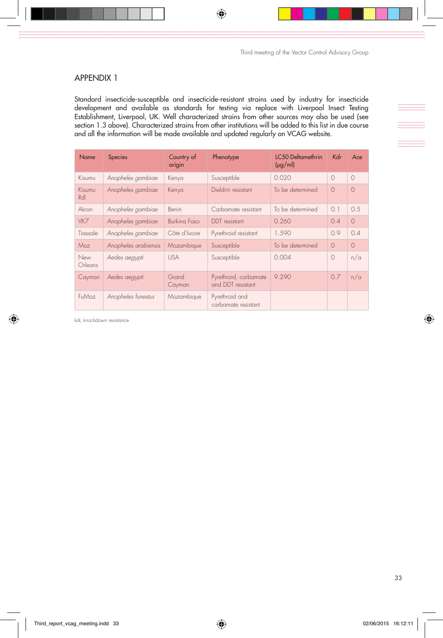#### Appendix 1

Standard insecticide-susceptible and insecticide-resistant strains used by industry for insecticide development and available as standards for testing via replace with Liverpool Insect Testing Establishment, Liverpool, UK. Well characterized strains from other sources may also be used (see section 1.3 above). Characterized strains from other institutions will be added to this list in due course and all the information will be made available and updated regularly on VCAG website.

| Name           | <b>Species</b>       | Country of<br>origin | Phenotype                                  | <b>LC50 Deltamethrin</b><br>$(\mu q/ml)$ | Kdr        | Ace        |
|----------------|----------------------|----------------------|--------------------------------------------|------------------------------------------|------------|------------|
| Kisumu         | Anopheles gambiae    | Kenya                | Susceptible                                | 0.020                                    | $\bigcap$  | $\bigcirc$ |
| Kisumu<br>Rdl  | Anopheles gambiae    | Kenya                | Dieldrin resistant                         | To be determined                         | $\Omega$   | $\Omega$   |
| Akron          | Anopheles gambiae    | Benin                | Carbamate resistant                        | To be determined                         | 0.1        | 0.5        |
| VK7            | Anopheles gambiae    | <b>Burking Faso</b>  | DDT resistant                              | 0.260                                    | 0.4        | $\Omega$   |
| Tiassale       | Anopheles gambiae    | Côte d'Ivoire        | Pyrethroid resistant                       | 1.590                                    | 0.9        | 0.4        |
| Moz            | Anopheles arabiensis | Mozambique           | Susceptible                                | To be determined                         | $\bigcirc$ | $\Omega$   |
| New<br>Orleans | Aedes aegypti        | <b>USA</b>           | Susceptible                                | 0.004                                    | $\bigcirc$ | n/a        |
| Cayman         | Aedes aegypti        | Grand<br>Cayman      | Pyrethroid, carbamate<br>and DDT resistant | 9.290                                    | 0.7        | n/a        |
| FuMoz          | Anopheles funestus   | Mozambique           | Pyrethroid and<br>carbamate resistant      |                                          |            |            |

kdr, knockdown resistance

 $\frac{1}{1}$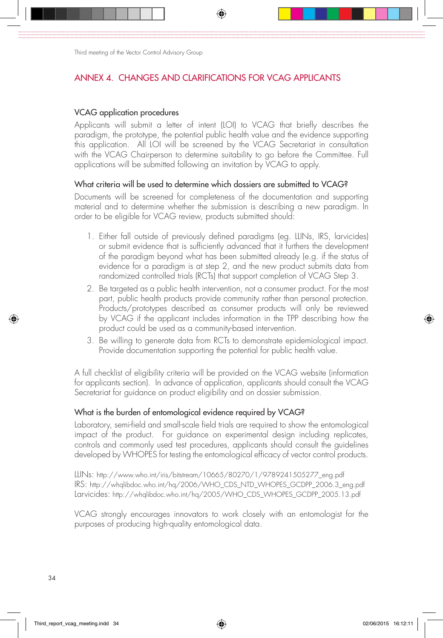# ANNEX 4. Changes and clarifications for VCAG applicants

### VCAG application procedures

Applicants will submit a letter of intent (LOI) to VCAG that briefly describes the paradigm, the prototype, the potential public health value and the evidence supporting this application. All LOI will be screened by the VCAG Secretariat in consultation with the VCAG Chairperson to determine suitability to go before the Committee. Full applications will be submitted following an invitation by VCAG to apply.

### What criteria will be used to determine which dossiers are submitted to VCAG?

Documents will be screened for completeness of the documentation and supporting material and to determine whether the submission is describing a new paradigm. In order to be eligible for VCAG review, products submitted should:

- 1. Either fall outside of previously defined paradigms (eg. LLINs, IRS, larvicides) or submit evidence that is sufficiently advanced that it furthers the development of the paradigm beyond what has been submitted already (e.g. if the status of evidence for a paradigm is at step 2, and the new product submits data from randomized controlled trials (RCTs) that support completion of VCAG Step 3.
- 2. Be targeted as a public health intervention, not a consumer product. For the most part, public health products provide community rather than personal protection. Products/prototypes described as consumer products will only be reviewed by VCAG if the applicant includes information in the TPP describing how the product could be used as a community-based intervention.
- 3. Be willing to generate data from RCTs to demonstrate epidemiological impact. Provide documentation supporting the potential for public health value.

A full checklist of eligibility criteria will be provided on the VCAG website (information for applicants section). In advance of application, applicants should consult the VCAG Secretariat for guidance on product eligibility and on dossier submission.

# What is the burden of entomological evidence required by VCAG?

Laboratory, semi-field and small-scale field trials are required to show the entomological impact of the product. For guidance on experimental design including replicates, controls and commonly used test procedures, applicants should consult the guidelines developed by WHOPES for testing the entomological efficacy of vector control products.

LLINs: http://www.who.int/iris/bitstream/10665/80270/1/9789241505277\_eng.pdf IRS: http://whqlibdoc.who.int/hq/2006/WHO\_CDS\_NTD\_WHOPES\_GCDPP\_2006.3\_eng.pdf Larvicides: http://whqlibdoc.who.int/hq/2005/WHO\_CDS\_WHOPES\_GCDPP\_2005.13.pdf

VCAG strongly encourages innovators to work closely with an entomologist for the purposes of producing high-quality entomological data.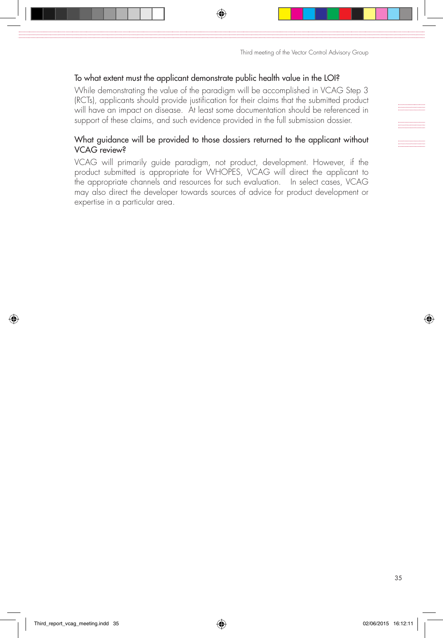## To what extent must the applicant demonstrate public health value in the LOI?

While demonstrating the value of the paradigm will be accomplished in VCAG Step 3 (RCTs), applicants should provide justification for their claims that the submitted product will have an impact on disease. At least some documentation should be referenced in support of these claims, and such evidence provided in the full submission dossier.

#### What guidance will be provided to those dossiers returned to the applicant without VCAG review?

VCAG will primarily guide paradigm, not product, development. However, if the product submitted is appropriate for WHOPES, VCAG will direct the applicant to the appropriate channels and resources for such evaluation. In select cases, VCAG may also direct the developer towards sources of advice for product development or expertise in a particular area.

..........<br>.........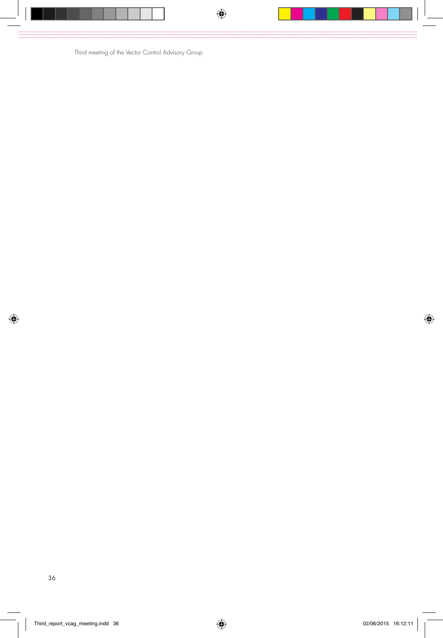Third meeting of the Vector Control Advisory Group